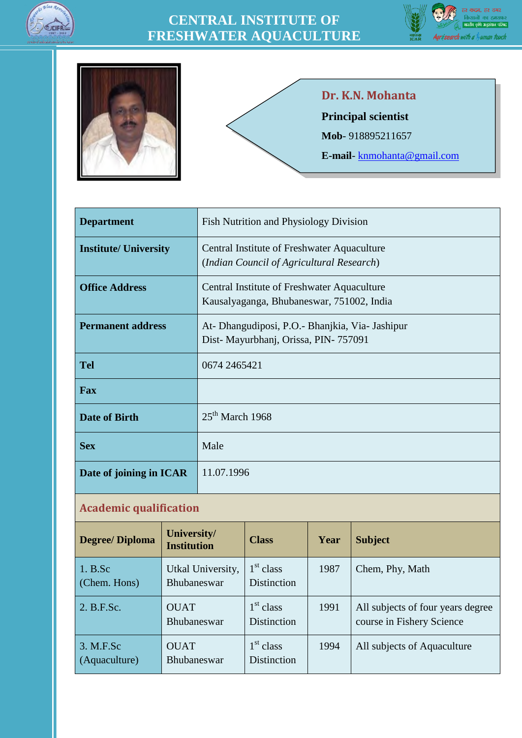







#### **Dr. K.N. Mohanta**

**Principal scientist**

**Mob**- 918895211657

**E-mail**- <knmohanta@gmail.com>

| <b>Department</b>            | Fish Nutrition and Physiology Division                                                   |
|------------------------------|------------------------------------------------------------------------------------------|
| <b>Institute/ University</b> | Central Institute of Freshwater Aquaculture<br>(Indian Council of Agricultural Research) |
| <b>Office Address</b>        | Central Institute of Freshwater Aquaculture<br>Kausalyaganga, Bhubaneswar, 751002, India |
| <b>Permanent address</b>     | At- Dhangudiposi, P.O. - Bhanjkia, Via- Jashipur<br>Dist- Mayurbhanj, Orissa, PIN-757091 |
| <b>Tel</b>                   | 0674 2465421                                                                             |
| <b>Fax</b>                   |                                                                                          |
| <b>Date of Birth</b>         | $25th$ March 1968                                                                        |
| <b>Sex</b>                   | Male                                                                                     |
| Date of joining in ICAR      | 11.07.1996                                                                               |

#### **Academic qualification**

| <b>Degree/Diploma</b>      | University/<br><b>Institution</b>       | <b>Class</b>                                | Year | <b>Subject</b>                                                 |
|----------------------------|-----------------------------------------|---------------------------------------------|------|----------------------------------------------------------------|
| 1. B.Sc<br>(Chem. Hons)    | Utkal University,<br><b>Bhubaneswar</b> | 1 <sup>st</sup> class<br><b>Distinction</b> | 1987 | Chem, Phy, Math                                                |
| 2. B.F.Sc.                 | <b>OUAT</b><br><b>Bhubaneswar</b>       | 1 <sup>st</sup> class<br><b>Distinction</b> | 1991 | All subjects of four years degree<br>course in Fishery Science |
| 3. M.F.Sc<br>(Aquaculture) | <b>OUAT</b><br><b>Bhubaneswar</b>       | $1st$ class<br><b>Distinction</b>           | 1994 | All subjects of Aquaculture                                    |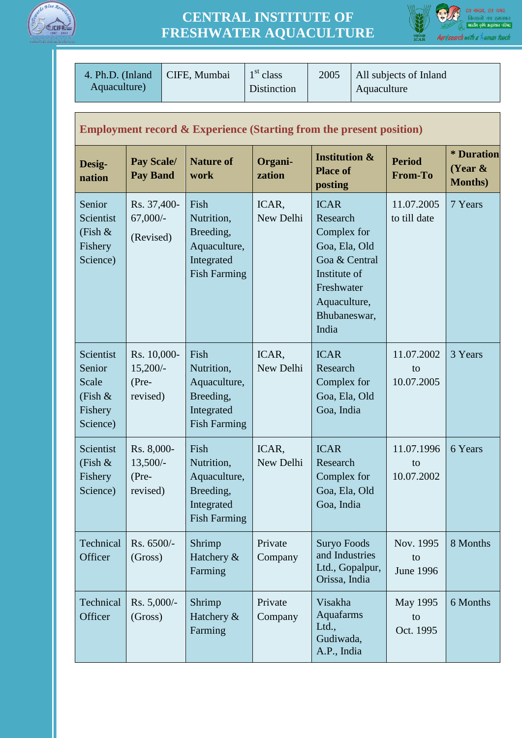



|                                                                   | $1st$ class<br>4. Ph.D. (Inland<br>CIFE, Mumbai<br>Aquaculture)                |  | Distinction                                                                          | 2005<br>All subjects of Inland<br>Aquaculture |                                                                                                                                                 |  |                                     |                                             |
|-------------------------------------------------------------------|--------------------------------------------------------------------------------|--|--------------------------------------------------------------------------------------|-----------------------------------------------|-------------------------------------------------------------------------------------------------------------------------------------------------|--|-------------------------------------|---------------------------------------------|
|                                                                   | <b>Employment record &amp; Experience (Starting from the present position)</b> |  |                                                                                      |                                               |                                                                                                                                                 |  |                                     |                                             |
| Desig-<br>nation                                                  | <b>Pay Scale/</b><br><b>Pay Band</b>                                           |  | <b>Nature of</b><br>work                                                             | Organi-<br>zation                             | <b>Institution &amp;</b><br><b>Place of</b><br>posting                                                                                          |  | <b>Period</b><br><b>From-To</b>     | * Duration<br>(Year $\&$<br><b>Months</b> ) |
| Senior<br>Scientist<br>(Fish $\&$<br>Fishery<br>Science)          | Rs. 37,400-<br>$67,000/-$<br>(Revised)                                         |  | Fish<br>Nutrition,<br>Breeding,<br>Aquaculture,<br>Integrated<br><b>Fish Farming</b> | ICAR,<br>New Delhi                            | <b>ICAR</b><br>Research<br>Complex for<br>Goa, Ela, Old<br>Goa & Central<br>Institute of<br>Freshwater<br>Aquaculture,<br>Bhubaneswar,<br>India |  | 11.07.2005<br>to till date          | 7 Years                                     |
| Scientist<br>Senior<br>Scale<br>(Fish $\&$<br>Fishery<br>Science) | Rs. 10,000-<br>$15,200/-$<br>(Pre-<br>revised)                                 |  | Fish<br>Nutrition,<br>Aquaculture,<br>Breeding,<br>Integrated<br><b>Fish Farming</b> | ICAR,<br>New Delhi                            | <b>ICAR</b><br>Research<br>Complex for<br>Goa, Ela, Old<br>Goa, India                                                                           |  | 11.07.2002<br>to<br>10.07.2005      | 3 Years                                     |
| Scientist<br>(Fish $\&$<br>Fishery<br>Science)                    | Rs. 8,000-<br>$13,500/-$<br>$(Pre-$<br>revised)                                |  | Fish<br>Nutrition,<br>Aquaculture,<br>Breeding,<br>Integrated<br><b>Fish Farming</b> | ICAR,<br>New Delhi                            | <b>ICAR</b><br>Research<br>Complex for<br>Goa, Ela, Old<br>Goa, India                                                                           |  | 11.07.1996<br>to<br>10.07.2002      | 6 Years                                     |
| Technical<br>Officer                                              | Rs. 6500/-<br>(Gross)                                                          |  | Shrimp<br>Hatchery &<br>Farming                                                      | Private<br>Company                            | <b>Suryo Foods</b><br>and Industries<br>Ltd., Gopalpur,<br>Orissa, India                                                                        |  | Nov. 1995<br>to<br><b>June 1996</b> | 8 Months                                    |
| Technical<br>Officer                                              | Rs. 5,000/-<br>(Gross)                                                         |  | Shrimp<br>Hatchery &<br>Farming                                                      | Private<br>Company                            | Visakha<br>Aquafarms<br>Ltd.,<br>Gudiwada,<br>A.P., India                                                                                       |  | May 1995<br>to<br>Oct. 1995         | 6 Months                                    |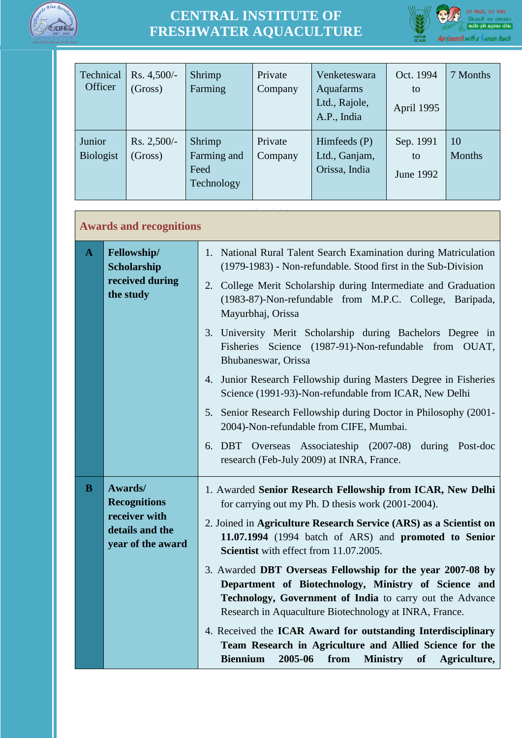



| Technical<br>Officer       | Rs. 4,500/-<br>(Gross)   | Shrimp<br>Farming                           | Private<br>Company | Venketeswara<br>Aquafarms<br>Ltd., Rajole,<br>A.P., India | Oct. 1994<br>to<br>April 1995 | 7 Months     |
|----------------------------|--------------------------|---------------------------------------------|--------------------|-----------------------------------------------------------|-------------------------------|--------------|
| Junior<br><b>Biologist</b> | $Rs. 2,500/-$<br>(Gross) | Shrimp<br>Farming and<br>Feed<br>Technology | Private<br>Company | Himfeeds (P)<br>Ltd., Ganjam,<br>Orissa, India            | Sep. 1991<br>to<br>June 1992  | 10<br>Months |

#### **Awards and recognitions**

| $\mathbf{A}$ | Fellowship/<br><b>Scholarship</b><br>received during<br>the study                       | 1. National Rural Talent Search Examination during Matriculation<br>(1979-1983) - Non-refundable. Stood first in the Sub-Division<br>2. College Merit Scholarship during Intermediate and Graduation<br>(1983-87)-Non-refundable from M.P.C. College, Baripada,<br>Mayurbhaj, Orissa |
|--------------|-----------------------------------------------------------------------------------------|--------------------------------------------------------------------------------------------------------------------------------------------------------------------------------------------------------------------------------------------------------------------------------------|
|              |                                                                                         | 3. University Merit Scholarship during Bachelors Degree in<br>Fisheries Science (1987-91)-Non-refundable from OUAT,<br>Bhubaneswar, Orissa                                                                                                                                           |
|              |                                                                                         | 4. Junior Research Fellowship during Masters Degree in Fisheries<br>Science (1991-93)-Non-refundable from ICAR, New Delhi                                                                                                                                                            |
|              |                                                                                         | 5. Senior Research Fellowship during Doctor in Philosophy (2001-<br>2004)-Non-refundable from CIFE, Mumbai.                                                                                                                                                                          |
|              |                                                                                         | 6. DBT Overseas Associateship (2007-08) during Post-doc<br>research (Feb-July 2009) at INRA, France.                                                                                                                                                                                 |
| $\bf{B}$     | Awards/<br><b>Recognitions</b><br>receiver with<br>details and the<br>year of the award | 1. Awarded Senior Research Fellowship from ICAR, New Delhi<br>for carrying out my Ph. D thesis work (2001-2004).                                                                                                                                                                     |
|              |                                                                                         | 2. Joined in Agriculture Research Service (ARS) as a Scientist on<br>11.07.1994 (1994 batch of ARS) and promoted to Senior<br>Scientist with effect from 11.07.2005.                                                                                                                 |
|              |                                                                                         | 3. Awarded DBT Overseas Fellowship for the year 2007-08 by<br>Department of Biotechnology, Ministry of Science and<br>Technology, Government of India to carry out the Advance<br>Research in Aquaculture Biotechnology at INRA, France.                                             |
|              |                                                                                         | 4. Received the ICAR Award for outstanding Interdisciplinary<br>Team Research in Agriculture and Allied Science for the<br><b>Biennium</b><br>2005-06<br>from<br><b>Ministry</b><br>of Agriculture,                                                                                  |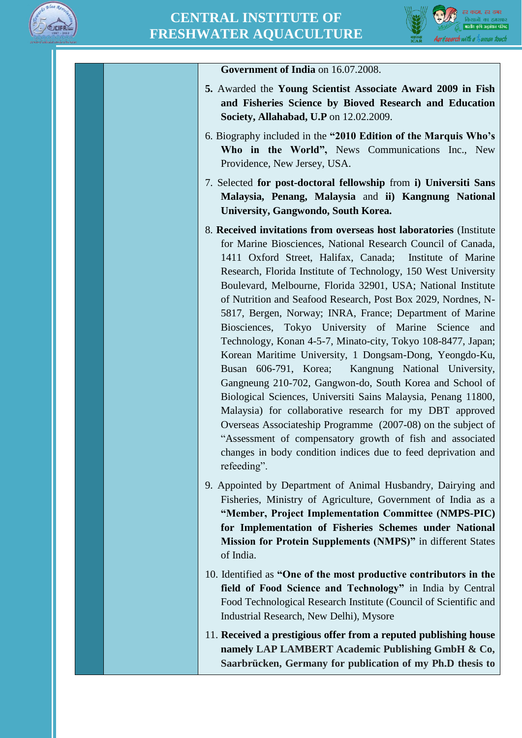



| Government of India on 16.07.2008.                                                                                                                                                                                                                                                                                                                                                                                                                                                                                                                                                                                                                                                                                                                                                                                                                                                                                                                                                                                                                                                                                     |
|------------------------------------------------------------------------------------------------------------------------------------------------------------------------------------------------------------------------------------------------------------------------------------------------------------------------------------------------------------------------------------------------------------------------------------------------------------------------------------------------------------------------------------------------------------------------------------------------------------------------------------------------------------------------------------------------------------------------------------------------------------------------------------------------------------------------------------------------------------------------------------------------------------------------------------------------------------------------------------------------------------------------------------------------------------------------------------------------------------------------|
| 5. Awarded the Young Scientist Associate Award 2009 in Fish<br>and Fisheries Science by Bioved Research and Education<br><b>Society, Allahabad, U.P</b> on 12.02.2009.                                                                                                                                                                                                                                                                                                                                                                                                                                                                                                                                                                                                                                                                                                                                                                                                                                                                                                                                                 |
| 6. Biography included in the "2010 Edition of the Marquis Who's<br>Who in the World", News Communications Inc., New<br>Providence, New Jersey, USA.                                                                                                                                                                                                                                                                                                                                                                                                                                                                                                                                                                                                                                                                                                                                                                                                                                                                                                                                                                    |
| 7. Selected for post-doctoral fellowship from i) Universiti Sans<br>Malaysia, Penang, Malaysia and ii) Kangnung National<br>University, Gangwondo, South Korea.                                                                                                                                                                                                                                                                                                                                                                                                                                                                                                                                                                                                                                                                                                                                                                                                                                                                                                                                                        |
| 8. Received invitations from overseas host laboratories (Institute)<br>for Marine Biosciences, National Research Council of Canada,<br>1411 Oxford Street, Halifax, Canada;<br>Institute of Marine<br>Research, Florida Institute of Technology, 150 West University<br>Boulevard, Melbourne, Florida 32901, USA; National Institute<br>of Nutrition and Seafood Research, Post Box 2029, Nordnes, N-<br>5817, Bergen, Norway; INRA, France; Department of Marine<br>Biosciences, Tokyo University of Marine<br>Science<br>and<br>Technology, Konan 4-5-7, Minato-city, Tokyo 108-8477, Japan;<br>Korean Maritime University, 1 Dongsam-Dong, Yeongdo-Ku,<br>Busan 606-791, Korea; Kangnung National University,<br>Gangneung 210-702, Gangwon-do, South Korea and School of<br>Biological Sciences, Universiti Sains Malaysia, Penang 11800,<br>Malaysia) for collaborative research for my DBT approved<br>Overseas Associateship Programme (2007-08) on the subject of<br>"Assessment of compensatory growth of fish and associated<br>changes in body condition indices due to feed deprivation and<br>refeeding". |
| 9. Appointed by Department of Animal Husbandry, Dairying and<br>Fisheries, Ministry of Agriculture, Government of India as a<br>"Member, Project Implementation Committee (NMPS-PIC)<br>for Implementation of Fisheries Schemes under National<br>Mission for Protein Supplements (NMPS)" in different States<br>of India.                                                                                                                                                                                                                                                                                                                                                                                                                                                                                                                                                                                                                                                                                                                                                                                             |
| 10. Identified as "One of the most productive contributors in the<br>field of Food Science and Technology" in India by Central<br>Food Technological Research Institute (Council of Scientific and<br>Industrial Research, New Delhi), Mysore                                                                                                                                                                                                                                                                                                                                                                                                                                                                                                                                                                                                                                                                                                                                                                                                                                                                          |
| 11. Received a prestigious offer from a reputed publishing house<br>namely LAP LAMBERT Academic Publishing GmbH & Co,<br>Saarbrücken, Germany for publication of my Ph.D thesis to                                                                                                                                                                                                                                                                                                                                                                                                                                                                                                                                                                                                                                                                                                                                                                                                                                                                                                                                     |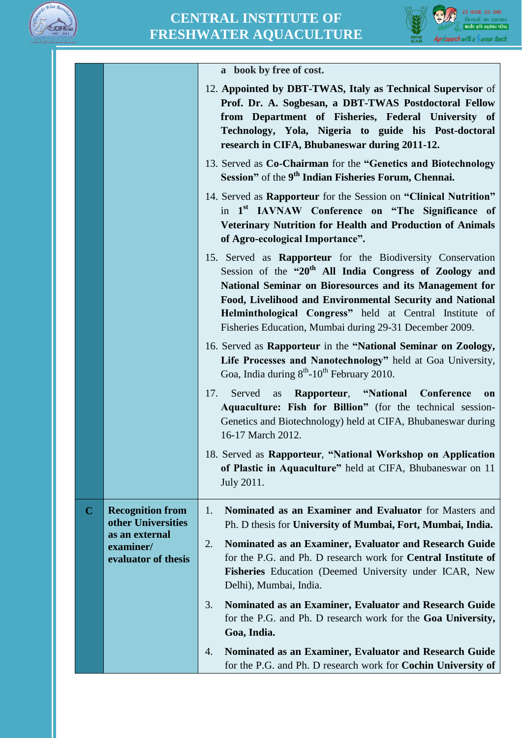



|             |                                                                              | a book by free of cost.                                                                                                                                                                                                                                                                                                                                                              |
|-------------|------------------------------------------------------------------------------|--------------------------------------------------------------------------------------------------------------------------------------------------------------------------------------------------------------------------------------------------------------------------------------------------------------------------------------------------------------------------------------|
|             |                                                                              | 12. Appointed by DBT-TWAS, Italy as Technical Supervisor of<br>Prof. Dr. A. Sogbesan, a DBT-TWAS Postdoctoral Fellow<br>from Department of Fisheries, Federal University of<br>Technology, Yola, Nigeria to guide his Post-doctoral<br>research in CIFA, Bhubaneswar during 2011-12.                                                                                                 |
|             |                                                                              | 13. Served as Co-Chairman for the "Genetics and Biotechnology<br>Session" of the 9 <sup>th</sup> Indian Fisheries Forum, Chennai.                                                                                                                                                                                                                                                    |
|             |                                                                              | 14. Served as Rapporteur for the Session on "Clinical Nutrition"<br>in 1 <sup>st</sup> IAVNAW Conference on "The Significance of<br>Veterinary Nutrition for Health and Production of Animals<br>of Agro-ecological Importance".                                                                                                                                                     |
|             |                                                                              | 15. Served as <b>Rapporteur</b> for the Biodiversity Conservation<br>Session of the "20 <sup>th</sup> All India Congress of Zoology and<br>National Seminar on Bioresources and its Management for<br>Food, Livelihood and Environmental Security and National<br>Helminthological Congress" held at Central Institute of<br>Fisheries Education, Mumbai during 29-31 December 2009. |
|             |                                                                              | 16. Served as Rapporteur in the "National Seminar on Zoology,<br>Life Processes and Nanotechnology" held at Goa University,<br>Goa, India during 8 <sup>th</sup> -10 <sup>th</sup> February 2010.                                                                                                                                                                                    |
|             |                                                                              | Rapporteur, "National Conference<br>17.<br>Served<br>as<br>on<br>Aquaculture: Fish for Billion" (for the technical session-<br>Genetics and Biotechnology) held at CIFA, Bhubaneswar during<br>16-17 March 2012.                                                                                                                                                                     |
|             |                                                                              | 18. Served as Rapporteur, "National Workshop on Application<br>of Plastic in Aquaculture" held at CIFA, Bhubaneswar on 11<br>July 2011.                                                                                                                                                                                                                                              |
| $\mathbf C$ | <b>Recognition from</b><br>other Universities<br>as an external<br>examiner/ | Nominated as an Examiner and Evaluator for Masters and<br>1.<br>Ph. D thesis for University of Mumbai, Fort, Mumbai, India.<br>Nominated as an Examiner, Evaluator and Research Guide<br>2.                                                                                                                                                                                          |
|             | evaluator of thesis                                                          | for the P.G. and Ph. D research work for <b>Central Institute of</b><br>Fisheries Education (Deemed University under ICAR, New<br>Delhi), Mumbai, India.                                                                                                                                                                                                                             |
|             |                                                                              | 3.<br>Nominated as an Examiner, Evaluator and Research Guide<br>for the P.G. and Ph. D research work for the Goa University,<br>Goa, India.                                                                                                                                                                                                                                          |
|             |                                                                              | Nominated as an Examiner, Evaluator and Research Guide<br>4.<br>for the P.G. and Ph. D research work for <b>Cochin University of</b>                                                                                                                                                                                                                                                 |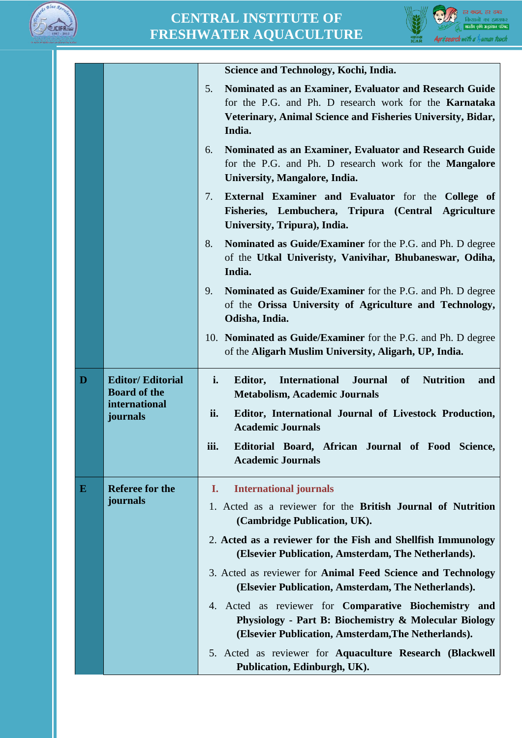



|          |                                                | Science and Technology, Kochi, India.                                                                                                                                                                  |
|----------|------------------------------------------------|--------------------------------------------------------------------------------------------------------------------------------------------------------------------------------------------------------|
|          |                                                | Nominated as an Examiner, Evaluator and Research Guide<br>5.<br>for the P.G. and Ph. D research work for the <b>Karnataka</b><br>Veterinary, Animal Science and Fisheries University, Bidar,<br>India. |
|          |                                                | Nominated as an Examiner, Evaluator and Research Guide<br>6.<br>for the P.G. and Ph. D research work for the <b>Mangalore</b><br>University, Mangalore, India.                                         |
|          |                                                | External Examiner and Evaluator for the College of<br>7.<br>Fisheries, Lembuchera, Tripura (Central Agriculture<br>University, Tripura), India.                                                        |
|          |                                                | 8.<br>Nominated as Guide/Examiner for the P.G. and Ph. D degree<br>of the Utkal Univeristy, Vanivihar, Bhubaneswar, Odiha,<br>India.                                                                   |
|          |                                                | Nominated as Guide/Examiner for the P.G. and Ph. D degree<br>9.<br>of the Orissa University of Agriculture and Technology,<br>Odisha, India.                                                           |
|          |                                                | 10. Nominated as Guide/Examiner for the P.G. and Ph. D degree<br>of the Aligarh Muslim University, Aligarh, UP, India.                                                                                 |
|          |                                                |                                                                                                                                                                                                        |
| D        | <b>Editor/Editorial</b><br><b>Board</b> of the | i.<br><b>International</b><br><b>Journal</b><br>of<br><b>Nutrition</b><br>Editor,<br>and<br><b>Metabolism, Academic Journals</b>                                                                       |
|          | international<br>journals                      | ii.<br>Editor, International Journal of Livestock Production,<br><b>Academic Journals</b>                                                                                                              |
|          |                                                | iii.<br>Editorial Board, African Journal of Food Science,<br><b>Academic Journals</b>                                                                                                                  |
| $\bf{E}$ | <b>Referee for the</b>                         | I.<br><b>International journals</b>                                                                                                                                                                    |
|          | journals                                       | 1. Acted as a reviewer for the British Journal of Nutrition<br>(Cambridge Publication, UK).                                                                                                            |
|          |                                                | 2. Acted as a reviewer for the Fish and Shellfish Immunology<br>(Elsevier Publication, Amsterdam, The Netherlands).                                                                                    |
|          |                                                | 3. Acted as reviewer for Animal Feed Science and Technology<br>(Elsevier Publication, Amsterdam, The Netherlands).                                                                                     |
|          |                                                | 4. Acted as reviewer for <b>Comparative Biochemistry and</b><br>Physiology - Part B: Biochemistry & Molecular Biology<br>(Elsevier Publication, Amsterdam, The Netherlands).                           |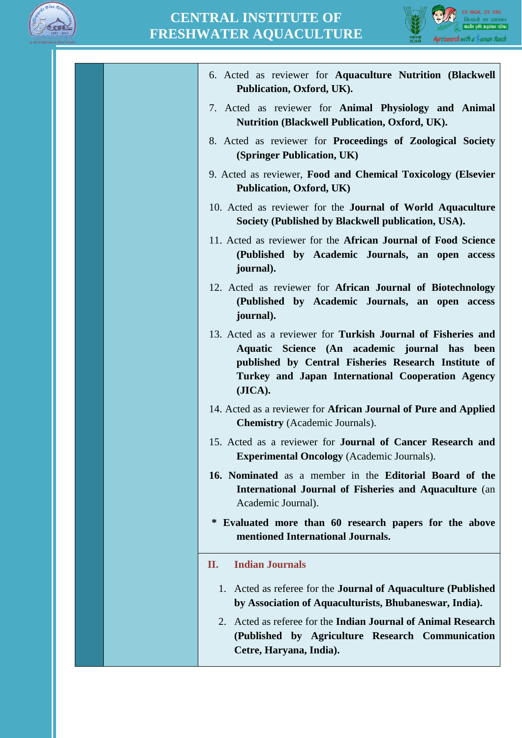



| 6. Acted as reviewer for Aquaculture Nutrition (Blackwell<br>Publication, Oxford, UK).                                                                                                                                                |
|---------------------------------------------------------------------------------------------------------------------------------------------------------------------------------------------------------------------------------------|
| 7. Acted as reviewer for <b>Animal Physiology and Animal</b><br><b>Nutrition (Blackwell Publication, Oxford, UK).</b>                                                                                                                 |
| 8. Acted as reviewer for Proceedings of Zoological Society<br>(Springer Publication, UK)                                                                                                                                              |
| 9. Acted as reviewer, Food and Chemical Toxicology (Elsevier<br>Publication, Oxford, UK)                                                                                                                                              |
| 10. Acted as reviewer for the <b>Journal of World Aquaculture</b><br>Society (Published by Blackwell publication, USA).                                                                                                               |
| 11. Acted as reviewer for the African Journal of Food Science<br>(Published by Academic Journals, an open access<br>journal).                                                                                                         |
| 12. Acted as reviewer for African Journal of Biotechnology<br>(Published by Academic Journals, an open access<br>journal).                                                                                                            |
| 13. Acted as a reviewer for Turkish Journal of Fisheries and<br>Aquatic Science (An academic journal has been<br>published by Central Fisheries Research Institute of<br>Turkey and Japan International Cooperation Agency<br>(JICA). |
| 14. Acted as a reviewer for <b>African Journal of Pure and Applied</b><br><b>Chemistry</b> (Academic Journals).                                                                                                                       |
| 15. Acted as a reviewer for <b>Journal of Cancer Research and</b><br><b>Experimental Oncology</b> (Academic Journals).                                                                                                                |
| 16. Nominated as a member in the Editorial Board of the<br><b>International Journal of Fisheries and Aquaculture (an)</b><br>Academic Journal).                                                                                       |
| * Evaluated more than 60 research papers for the above<br>mentioned International Journals.                                                                                                                                           |
| <b>Indian Journals</b><br>П.                                                                                                                                                                                                          |
| Acted as referee for the <b>Journal of Aquaculture (Published</b> )<br>1.<br>by Association of Aquaculturists, Bhubaneswar, India).                                                                                                   |
| Acted as referee for the <b>Indian Journal of Animal Research</b><br>2.<br>(Published by Agriculture Research Communication<br>Cetre, Haryana, India).                                                                                |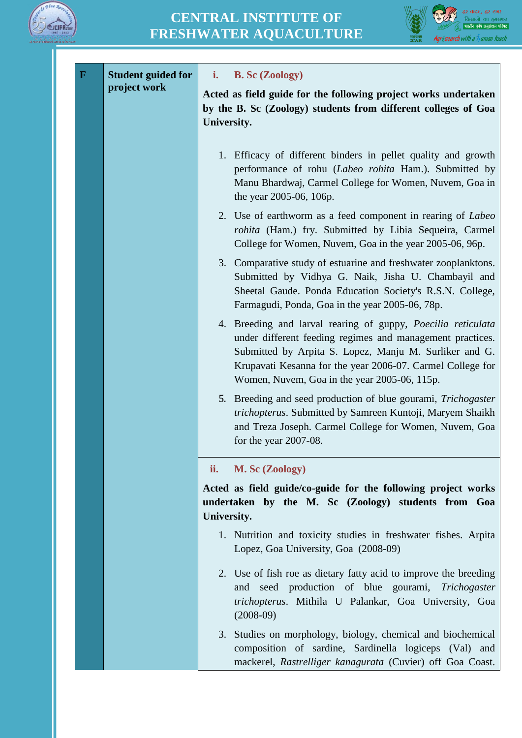



| $\mathbf F$ | <b>Student guided for</b> | i.<br><b>B.</b> Sc (Zoology)                                                                                                                                                                                                                                                                      |
|-------------|---------------------------|---------------------------------------------------------------------------------------------------------------------------------------------------------------------------------------------------------------------------------------------------------------------------------------------------|
|             | project work              | Acted as field guide for the following project works undertaken<br>by the B. Sc (Zoology) students from different colleges of Goa<br>University.                                                                                                                                                  |
|             |                           | 1. Efficacy of different binders in pellet quality and growth<br>performance of rohu (Labeo rohita Ham.). Submitted by<br>Manu Bhardwaj, Carmel College for Women, Nuvem, Goa in<br>the year 2005-06, 106p.                                                                                       |
|             |                           | 2. Use of earthworm as a feed component in rearing of Labeo<br>rohita (Ham.) fry. Submitted by Libia Sequeira, Carmel<br>College for Women, Nuvem, Goa in the year 2005-06, 96p.                                                                                                                  |
|             |                           | 3. Comparative study of estuarine and freshwater zooplanktons.<br>Submitted by Vidhya G. Naik, Jisha U. Chambayil and<br>Sheetal Gaude. Ponda Education Society's R.S.N. College,<br>Farmagudi, Ponda, Goa in the year 2005-06, 78p.                                                              |
|             |                           | 4. Breeding and larval rearing of guppy, Poecilia reticulata<br>under different feeding regimes and management practices.<br>Submitted by Arpita S. Lopez, Manju M. Surliker and G.<br>Krupavati Kesanna for the year 2006-07. Carmel College for<br>Women, Nuvem, Goa in the year 2005-06, 115p. |
|             |                           | 5. Breeding and seed production of blue gourami, <i>Trichogaster</i><br>trichopterus. Submitted by Samreen Kuntoji, Maryem Shaikh<br>and Treza Joseph. Carmel College for Women, Nuvem, Goa<br>for the year $2007-08$ .                                                                           |
|             |                           | ii.<br>M. Sc (Zoology)                                                                                                                                                                                                                                                                            |
|             |                           | Acted as field guide/co-guide for the following project works<br>undertaken by the M. Sc (Zoology) students from Goa<br>University.                                                                                                                                                               |
|             |                           | 1. Nutrition and toxicity studies in freshwater fishes. Arpita<br>Lopez, Goa University, Goa (2008-09)                                                                                                                                                                                            |
|             |                           | 2. Use of fish roe as dietary fatty acid to improve the breeding<br>and seed production of blue gourami, Trichogaster<br>trichopterus. Mithila U Palankar, Goa University, Goa<br>$(2008-09)$                                                                                                     |
|             |                           | 3. Studies on morphology, biology, chemical and biochemical<br>composition of sardine, Sardinella logiceps (Val) and<br>mackerel, Rastrelliger kanagurata (Cuvier) off Goa Coast.                                                                                                                 |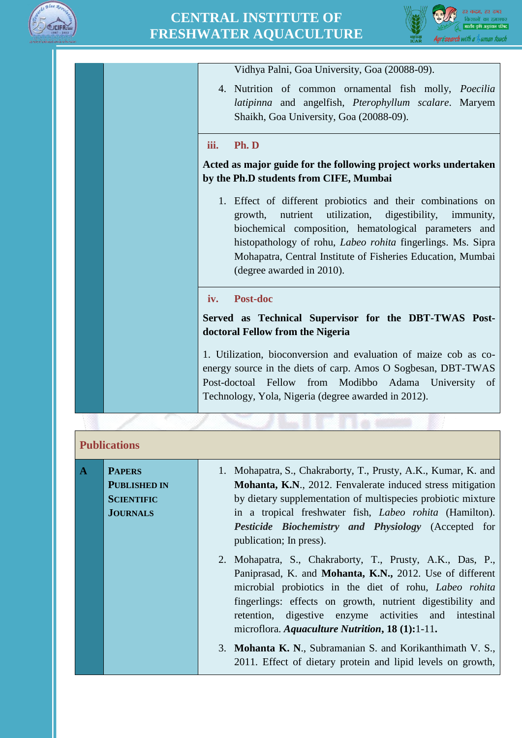



Vidhya Palni, Goa University, Goa (20088-09).

4. Nutrition of common ornamental fish molly, *Poecilia latipinna* and angelfish, *Pterophyllum scalare*. Maryem Shaikh, Goa University, Goa (20088-09).

#### **iii. Ph. D**

**Acted as major guide for the following project works undertaken by the Ph.D students from CIFE, Mumbai**

1. Effect of different probiotics and their combinations on growth, nutrient utilization, digestibility, immunity, biochemical composition, hematological parameters and histopathology of rohu, *Labeo rohita* fingerlings. Ms. Sipra Mohapatra, Central Institute of Fisheries Education, Mumbai (degree awarded in 2010).

#### **iv. Post-doc**

**Served as Technical Supervisor for the DBT-TWAS Postdoctoral Fellow from the Nigeria**

1. Utilization, bioconversion and evaluation of maize cob as coenergy source in the diets of carp. Amos O Sogbesan, DBT-TWAS Post-doctoal Fellow from Modibbo Adama University of Technology, Yola, Nigeria (degree awarded in 2012).

#### **Publications**

| $\overline{A}$ | <b>PAPERS</b><br><b>PUBLISHED IN</b><br><b>SCIENTIFIC</b><br><b>JOURNALS</b> | 1. Mohapatra, S., Chakraborty, T., Prusty, A.K., Kumar, K. and<br><b>Mohanta, K.N., 2012. Fenvalerate induced stress mitigation</b><br>by dietary supplementation of multispecies probiotic mixture<br>in a tropical freshwater fish, <i>Labeo rohita</i> (Hamilton).<br>Pesticide Biochemistry and Physiology (Accepted for<br>publication; In press).     |
|----------------|------------------------------------------------------------------------------|-------------------------------------------------------------------------------------------------------------------------------------------------------------------------------------------------------------------------------------------------------------------------------------------------------------------------------------------------------------|
|                |                                                                              | 2. Mohapatra, S., Chakraborty, T., Prusty, A.K., Das, P.,<br>Paniprasad, K. and Mohanta, K.N., 2012. Use of different<br>microbial probiotics in the diet of rohu, Labeo rohita<br>fingerlings: effects on growth, nutrient digestibility and<br>retention, digestive enzyme activities and intestinal<br>microflora. Aquaculture Nutrition, $18(1):1-11$ . |
|                |                                                                              | 3. Mohanta K. N., Subramanian S. and Korikanthimath V. S.,<br>2011. Effect of dietary protein and lipid levels on growth,                                                                                                                                                                                                                                   |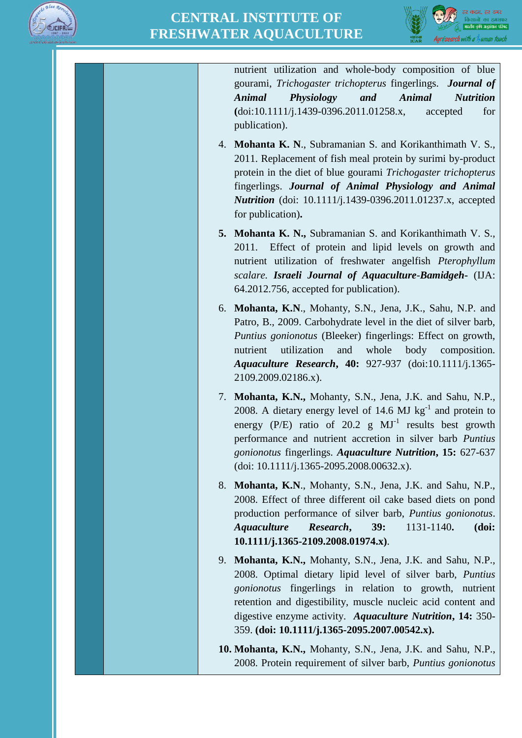



nutrient utilization and whole-body composition of blue gourami, *Trichogaster trichopterus* fingerlings. *Journal of Animal Physiology and Animal Nutrition*  **(**doi:10.1111/j.1439-0396.2011.01258.x, accepted for publication).

- 4. **Mohanta K. N**., Subramanian S. and Korikanthimath V. S., 2011. Replacement of fish meal protein by surimi by-product protein in the diet of blue gourami *Trichogaster trichopterus*  fingerlings. *Journal of Animal Physiology and Animal Nutrition* (doi: 10.1111/j.1439-0396.2011.01237.x, accepted for publication)**.**
- **5. Mohanta K. N.,** Subramanian S. and Korikanthimath V. S., 2011. Effect of protein and lipid levels on growth and nutrient utilization of freshwater angelfish *Pterophyllum scalare. Israeli Journal of Aquaculture-Bamidgeh***-** (IJA: 64.2012.756, accepted for publication).
- 6. **Mohanta, K.N**., Mohanty, S.N., Jena, J.K., Sahu, N.P. and Patro, B., 2009. Carbohydrate level in the diet of silver barb, *Puntius gonionotus* (Bleeker) fingerlings: Effect on growth, nutrient utilization and whole body composition. *Aquaculture Research***, 40:** 927-937 (doi:10.1111/j.1365- 2109.2009.02186.x).
- 7. **Mohanta, K.N.,** Mohanty, S.N., Jena, J.K. and Sahu, N.P., 2008. A dietary energy level of 14.6 MJ  $\text{kg}^{-1}$  and protein to energy (P/E) ratio of 20.2 g  $MJ<sup>-1</sup>$  results best growth performance and nutrient accretion in silver barb *Puntius gonionotus* fingerlings. *Aquaculture Nutrition***, 15:** 627-637 (doi: 10.1111/j.1365-2095.2008.00632.x).
- 8. **Mohanta, K.N**., Mohanty, S.N., Jena, J.K. and Sahu, N.P., 2008. Effect of three different oil cake based diets on pond production performance of silver barb, *Puntius gonionotus*. *Aquaculture Research***, 39:** 1131-1140**. (doi: 10.1111/j.1365-2109.2008.01974.x)**.
- 9. **Mohanta, K.N.,** Mohanty, S.N., Jena, J.K. and Sahu, N.P., 2008. Optimal dietary lipid level of silver barb, *Puntius gonionotus* fingerlings in relation to growth, nutrient retention and digestibility, muscle nucleic acid content and digestive enzyme activity. *Aquaculture Nutrition***, 14:** 350- 359. **(doi: 10.1111/j.1365-2095.2007.00542.x).**
- **10. Mohanta, K.N.,** Mohanty, S.N., Jena, J.K. and Sahu, N.P., 2008. Protein requirement of silver barb, *Puntius gonionotus*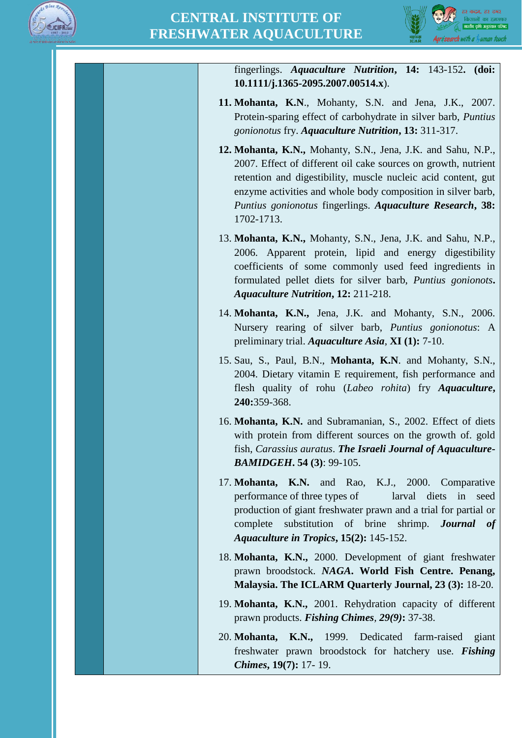



fingerlings. *Aquaculture Nutrition***, 14:** 143-152**. (doi: 10.1111/j.1365-2095.2007.00514.x**).

- **11. Mohanta, K.N**., Mohanty, S.N. and Jena, J.K., 2007. Protein-sparing effect of carbohydrate in silver barb, *Puntius gonionotus* fry. *Aquaculture Nutrition***, 13:** 311-317.
- **12. Mohanta, K.N.,** Mohanty, S.N., Jena, J.K. and Sahu, N.P., 2007. Effect of different oil cake sources on growth, nutrient retention and digestibility, muscle nucleic acid content, gut enzyme activities and whole body composition in silver barb, *Puntius gonionotus* fingerlings. *Aquaculture Research***, 38:**  1702-1713.
- 13. **Mohanta, K.N.,** Mohanty, S.N., Jena, J.K. and Sahu, N.P., 2006. Apparent protein, lipid and energy digestibility coefficients of some commonly used feed ingredients in formulated pellet diets for silver barb, *Puntius gonionots***.**  *Aquaculture Nutrition***, 12:** 211-218.
- 14. **Mohanta, K.N.,** Jena, J.K. and Mohanty, S.N., 2006. Nursery rearing of silver barb, *Puntius gonionotus*: A preliminary trial. *Aquaculture Asia*, **XI (1):** 7-10.
- 15. Sau, S., Paul, B.N., **Mohanta, K.N**. and Mohanty, S.N., 2004. Dietary vitamin E requirement, fish performance and flesh quality of rohu (*Labeo rohita*) fry *Aquaculture***, 240:**359-368.
- 16. **Mohanta, K.N.** and Subramanian, S., 2002. Effect of diets with protein from different sources on the growth of. gold fish, *Carassius auratus*. *The Israeli Journal of Aquaculture-BAMIDGEH***. 54 (3)**: 99-105.
- 17. **Mohanta, K.N.** and Rao, K.J., 2000. Comparative performance of three types of larval diets in seed production of giant freshwater prawn and a trial for partial or complete substitution of brine shrimp. *Journal of Aquaculture in Tropics***, 15(2):** 145-152.
- 18. **Mohanta, K.N.,** 2000. Development of giant freshwater prawn broodstock. *NAGA***. World Fish Centre. Penang, Malaysia. The ICLARM Quarterly Journal, 23 (3):** 18-20.
- 19. **Mohanta, K.N.,** 2001. Rehydration capacity of different prawn products. *Fishing Chimes, 29(9)***:** 37-38.
- 20. **Mohanta, K.N.,** 1999. Dedicated farm-raised giant freshwater prawn broodstock for hatchery use. *Fishing Chimes***, 19(7):** 17- 19.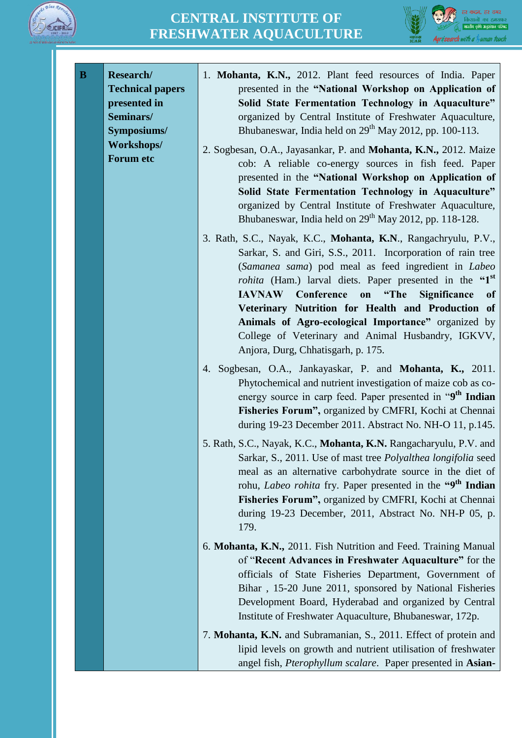



| B | Research/<br><b>Technical papers</b><br>presented in<br>Seminars/<br>Symposiums/ | 1. Mohanta, K.N., 2012. Plant feed resources of India. Paper<br>presented in the "National Workshop on Application of<br>Solid State Fermentation Technology in Aquaculture"<br>organized by Central Institute of Freshwater Aquaculture,<br>Bhubaneswar, India held on 29 <sup>th</sup> May 2012, pp. 100-113.                                                                                                                                        |
|---|----------------------------------------------------------------------------------|--------------------------------------------------------------------------------------------------------------------------------------------------------------------------------------------------------------------------------------------------------------------------------------------------------------------------------------------------------------------------------------------------------------------------------------------------------|
|   | Workshops/<br>Forum etc                                                          | 2. Sogbesan, O.A., Jayasankar, P. and Mohanta, K.N., 2012. Maize<br>cob: A reliable co-energy sources in fish feed. Paper<br>presented in the "National Workshop on Application of<br>Solid State Fermentation Technology in Aquaculture"<br>organized by Central Institute of Freshwater Aquaculture,<br>Bhubaneswar, India held on 29 <sup>th</sup> May 2012, pp. 118-128.                                                                           |
|   |                                                                                  | 3. Rath, S.C., Nayak, K.C., Mohanta, K.N., Rangachryulu, P.V.,<br>Sarkar, S. and Giri, S.S., 2011. Incorporation of rain tree<br>(Samanea sama) pod meal as feed ingredient in Labeo<br><i>rohita</i> (Ham.) larval diets. Paper presented in the "1 <sup>st</sup><br><b>IAVNAW</b> Conference on<br>"The<br>Significance<br><sub>of</sub><br>Veterinary Nutrition for Health and Production of<br>Animals of Agro-ecological Importance" organized by |
|   |                                                                                  | College of Veterinary and Animal Husbandry, IGKVV,<br>Anjora, Durg, Chhatisgarh, p. 175.                                                                                                                                                                                                                                                                                                                                                               |
|   |                                                                                  | 4. Sogbesan, O.A., Jankayaskar, P. and Mohanta, K., 2011.<br>Phytochemical and nutrient investigation of maize cob as co-<br>energy source in carp feed. Paper presented in "9 <sup>th</sup> Indian<br>Fisheries Forum", organized by CMFRI, Kochi at Chennai<br>during 19-23 December 2011. Abstract No. NH-O 11, p.145.                                                                                                                              |
|   |                                                                                  | 5. Rath, S.C., Nayak, K.C., Mohanta, K.N. Rangacharyulu, P.V. and<br>Sarkar, S., 2011. Use of mast tree Polyalthea longifolia seed<br>meal as an alternative carbohydrate source in the diet of<br>rohu, Labeo rohita fry. Paper presented in the "9 <sup>th</sup> Indian<br>Fisheries Forum", organized by CMFRI, Kochi at Chennai<br>during 19-23 December, 2011, Abstract No. NH-P 05, p.<br>179.                                                   |
|   |                                                                                  | 6. Mohanta, K.N., 2011. Fish Nutrition and Feed. Training Manual<br>of "Recent Advances in Freshwater Aquaculture" for the<br>officials of State Fisheries Department, Government of<br>Bihar, 15-20 June 2011, sponsored by National Fisheries<br>Development Board, Hyderabad and organized by Central<br>Institute of Freshwater Aquaculture, Bhubaneswar, 172p.                                                                                    |
|   |                                                                                  | 7. Mohanta, K.N. and Subramanian, S., 2011. Effect of protein and<br>lipid levels on growth and nutrient utilisation of freshwater<br>angel fish, Pterophyllum scalare. Paper presented in Asian-                                                                                                                                                                                                                                                      |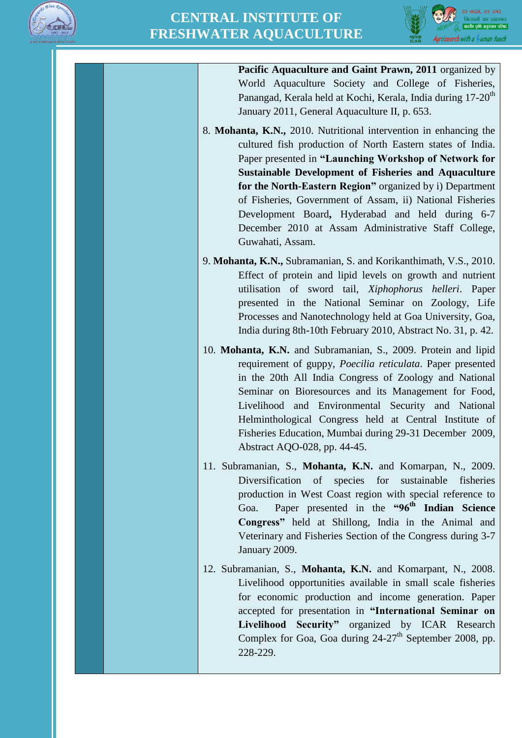



**Pacific Aquaculture and Gaint Prawn, 2011** organized by World Aquaculture Society and College of Fisheries, Panangad, Kerala held at Kochi, Kerala, India during 17-20<sup>th</sup> January 2011, General Aquaculture II, p. 653.

- 8. **Mohanta, K.N.,** 2010. Nutritional intervention in enhancing the cultured fish production of North Eastern states of India. Paper presented in **"Launching Workshop of Network for Sustainable Development of Fisheries and Aquaculture for the North-Eastern Region"** organized by i) Department of Fisheries, Government of Assam, ii) National Fisheries Development Board**,** Hyderabad and held during 6-7 December 2010 at Assam Administrative Staff College, Guwahati, Assam.
- 9. **Mohanta, K.N.,** Subramanian, S. and Korikanthimath, V.S., 2010. Effect of protein and lipid levels on growth and nutrient utilisation of sword tail, *Xiphophorus helleri*. Paper presented in the National Seminar on Zoology, Life Processes and Nanotechnology held at Goa University, Goa, India during 8th-10th February 2010, Abstract No. 31, p. 42.
- 10. **Mohanta, K.N.** and Subramanian, S., 2009. Protein and lipid requirement of guppy, *Poecilia reticulata*. Paper presented in the 20th All India Congress of Zoology and National Seminar on Bioresources and its Management for Food, Livelihood and Environmental Security and National Helminthological Congress held at Central Institute of Fisheries Education, Mumbai during 29-31 December 2009, Abstract AQO-028, pp. 44-45.
- 11. Subramanian, S., **Mohanta, K.N.** and Komarpan, N., 2009. Diversification of species for sustainable fisheries production in West Coast region with special reference to Goa. Paper presented in the **"96th Indian Science Congress"** held at Shillong, India in the Animal and Veterinary and Fisheries Section of the Congress during 3-7 January 2009.
- 12. Subramanian, S., **Mohanta, K.N.** and Komarpant, N., 2008. Livelihood opportunities available in small scale fisheries for economic production and income generation. Paper accepted for presentation in **"International Seminar on Livelihood Security"** organized by ICAR Research Complex for Goa, Goa during  $24-27$ <sup>th</sup> September 2008, pp. 228-229.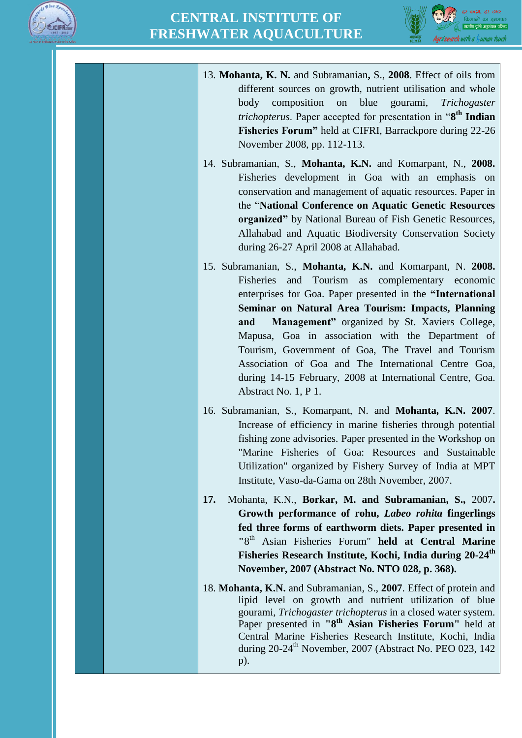



13. **Mohanta, K. N.** and Subramanian**,** S., **2008**. Effect of oils from different sources on growth, nutrient utilisation and whole body composition on blue gourami, *Trichogaster trichopterus*. Paper accepted for presentation in "**8 th Indian Fisheries Forum"** held at CIFRI, Barrackpore during 22-26 November 2008, pp. 112-113. 14. Subramanian, S., **Mohanta, K.N.** and Komarpant, N., **2008.**  Fisheries development in Goa with an emphasis on conservation and management of aquatic resources. Paper in the "**National Conference on Aquatic Genetic Resources organized"** by National Bureau of Fish Genetic Resources, Allahabad and Aquatic Biodiversity Conservation Society during 26-27 April 2008 at Allahabad. 15. Subramanian, S., **Mohanta, K.N.** and Komarpant, N. **2008.** Fisheries and Tourism as complementary economic enterprises for Goa. Paper presented in the **"International Seminar on Natural Area Tourism: Impacts, Planning and Management"** organized by St. Xaviers College, Mapusa, Goa in association with the Department of Tourism, Government of Goa, The Travel and Tourism Association of Goa and The International Centre Goa, during 14-15 February, 2008 at International Centre, Goa. Abstract No. 1, P 1. 16. Subramanian, S., Komarpant, N. and **Mohanta, K.N. 2007**. Increase of efficiency in marine fisheries through potential fishing zone advisories. Paper presented in the Workshop on "Marine Fisheries of Goa: Resources and Sustainable Utilization" organized by Fishery Survey of India at MPT Institute, Vaso-da-Gama on 28th November, 2007. **17.** Mohanta, K.N., **Borkar, M. and Subramanian, S.,** 2007**. Growth performance of rohu,** *Labeo rohita* **fingerlings fed three forms of earthworm diets. Paper presented in "**8 th Asian Fisheries Forum" **held at Central Marine Fisheries Research Institute, Kochi, India during 20-24th November, 2007 (Abstract No. NTO 028, p. 368).** 18. **Mohanta, K.N.** and Subramanian, S., **2007**. Effect of protein and lipid level on growth and nutrient utilization of blue gourami, *Trichogaster trichopterus* in a closed water system. Paper presented in **"8th Asian Fisheries Forum"** held at Central Marine Fisheries Research Institute, Kochi, India during  $20-24^{\text{th}}$  November,  $2007$  (Abstract No. PEO 023, 142) p).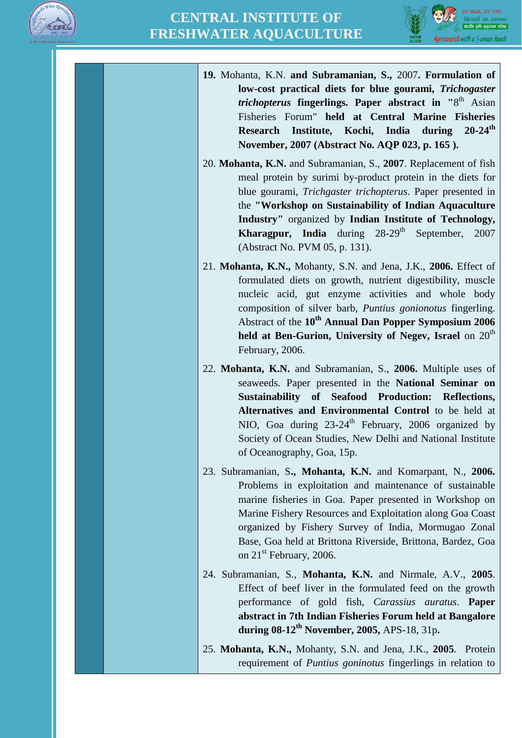



**19.** Mohanta, K.N. **and Subramanian, S.,** 2007**. Formulation of low-cost practical diets for blue gourami,** *Trichogaster trichopterus* **fingerlings. Paper abstract in "**8 th Asian Fisheries Forum" **held at Central Marine Fisheries Research Institute, Kochi, India during 20-24th November, 2007 (Abstract No. AQP 023, p. 165 ).** 20. **Mohanta, K.N.** and Subramanian, S., **2007**. Replacement of fish meal protein by surimi by-product protein in the diets for blue gourami, *Trichgaster trichopterus*. Paper presented in the **"Workshop on Sustainability of Indian Aquaculture Industry"** organized by **Indian Institute of Technology, Kharagpur, India** during  $28-29$ <sup>th</sup> September, 2007 (Abstract No. PVM 05, p. 131).

21. **Mohanta, K.N.,** Mohanty, S.N. and Jena, J.K., **2006.** Effect of formulated diets on growth, nutrient digestibility, muscle nucleic acid, gut enzyme activities and whole body composition of silver barb, *Puntius gonionotus* fingerling. Abstract of the **10th Annual Dan Popper Symposium 2006**  held at Ben-Gurion, University of Negev, Israel on 20<sup>th</sup> February, 2006.

22. **Mohanta, K.N.** and Subramanian, S., **2006.** Multiple uses of seaweeds. Paper presented in the **National Seminar on Sustainability of Seafood Production: Reflections, Alternatives and Environmental Control** to be held at NIO, Goa during  $23{\text -}24^{\text{th}}$  February, 2006 organized by Society of Ocean Studies, New Delhi and National Institute of Oceanography, Goa, 15p.

- 23. Subramanian, S**., Mohanta, K.N.** and Komarpant, N., **2006.** Problems in exploitation and maintenance of sustainable marine fisheries in Goa. Paper presented in Workshop on Marine Fishery Resources and Exploitation along Goa Coast organized by Fishery Survey of India, Mormugao Zonal Base, Goa held at Brittona Riverside, Brittona, Bardez, Goa on  $21<sup>st</sup>$  February, 2006.
- 24. Subramanian, S., **Mohanta, K.N.** and Nirmale, A.V., **2005**. Effect of beef liver in the formulated feed on the growth performance of gold fish, *Carassius auratus*. **Paper abstract in 7th Indian Fisheries Forum held at Bangalore during 08-12th November, 2005,** APS-18, 31p**.**
- 25. **Mohanta, K.N.,** Mohanty, S.N. and Jena, J.K., **2005**. Protein requirement of *Puntius goninotus* fingerlings in relation to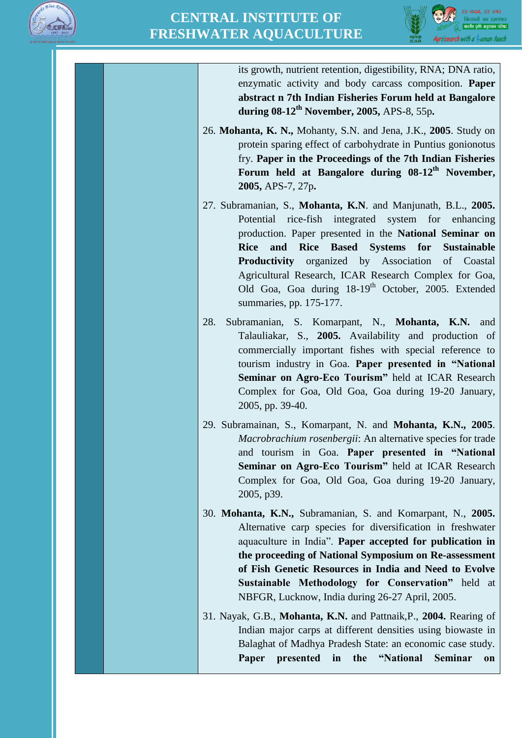



its growth, nutrient retention, digestibility, RNA; DNA ratio, enzymatic activity and body carcass composition. **Paper abstract n 7th Indian Fisheries Forum held at Bangalore during 08-12th November, 2005,** APS-8, 55p**.**

- 26. **Mohanta, K. N.,** Mohanty, S.N. and Jena, J.K., **2005**. Study on protein sparing effect of carbohydrate in Puntius gonionotus fry. **Paper in the Proceedings of the 7th Indian Fisheries Forum held at Bangalore during 08-12th November, 2005,** APS-7, 27p**.**
- 27. Subramanian, S., **Mohanta, K.N**. and Manjunath, B.L., **2005.** Potential rice-fish integrated system for enhancing production. Paper presented in the **National Seminar on Rice and Rice Based Systems for Sustainable Productivity** organized by Association of Coastal Agricultural Research, ICAR Research Complex for Goa, Old Goa, Goa during 18-19<sup>th</sup> October, 2005. Extended summaries, pp. 175-177.
- 28. Subramanian, S. Komarpant, N., **Mohanta, K.N.** and Talauliakar, S., **2005.** Availability and production of commercially important fishes with special reference to tourism industry in Goa. **Paper presented in "National Seminar on Agro-Eco Tourism"** held at ICAR Research Complex for Goa, Old Goa, Goa during 19-20 January, 2005, pp. 39-40.
- 29. Subramainan, S., Komarpant, N. and **Mohanta, K.N., 2005**. *Macrobrachium rosenbergii*: An alternative species for trade and tourism in Goa. **Paper presented in "National Seminar on Agro-Eco Tourism"** held at ICAR Research Complex for Goa, Old Goa, Goa during 19-20 January, 2005, p39.
- 30. **Mohanta, K.N.,** Subramanian, S. and Komarpant, N., **2005.** Alternative carp species for diversification in freshwater aquaculture in India". **Paper accepted for publication in the proceeding of National Symposium on Re-assessment of Fish Genetic Resources in India and Need to Evolve Sustainable Methodology for Conservation"** held at NBFGR, Lucknow, India during 26-27 April, 2005.
- 31. Nayak, G.B., **Mohanta, K.N.** and Pattnaik,P., **2004.** Rearing of Indian major carps at different densities using biowaste in Balaghat of Madhya Pradesh State: an economic case study. **Paper presented in the "National Seminar on**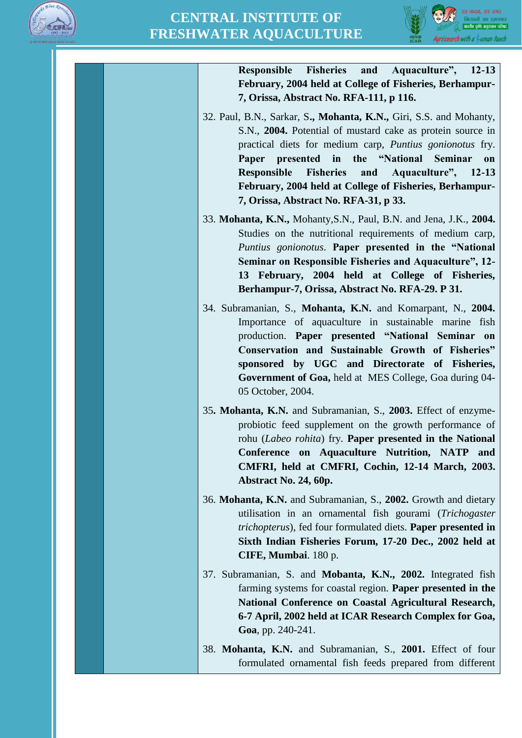



**Responsible Fisheries and Aquaculture", 12-13 February, 2004 held at College of Fisheries, Berhampur-7, Orissa, Abstract No. RFA-111, p 116.**

- 32. Paul, B.N., Sarkar, S**., Mohanta, K.N.,** Giri, S.S. and Mohanty, S.N., **2004.** Potential of mustard cake as protein source in practical diets for medium carp, *Puntius gonionotus* fry. **Paper presented in the "National Seminar on Responsible Fisheries and Aquaculture", 12-13 February, 2004 held at College of Fisheries, Berhampur-7, Orissa, Abstract No. RFA-31, p 33.**
- 33. **Mohanta, K.N.,** Mohanty,S.N., Paul, B.N. and Jena, J.K., **2004.** Studies on the nutritional requirements of medium carp, *Puntius gonionotus*. **Paper presented in the "National Seminar on Responsible Fisheries and Aquaculture", 12- 13 February, 2004 held at College of Fisheries, Berhampur-7, Orissa, Abstract No. RFA-29. P 31.**
- 34. Subramanian, S., **Mohanta, K.N.** and Komarpant, N., **2004.** Importance of aquaculture in sustainable marine fish production. **Paper presented "National Seminar on Conservation and Sustainable Growth of Fisheries" sponsored by UGC and Directorate of Fisheries, Government of Goa,** held at MES College, Goa during 04- 05 October, 2004.
- 35**. Mohanta, K.N.** and Subramanian, S., **2003.** Effect of enzymeprobiotic feed supplement on the growth performance of rohu (*Labeo rohita*) fry. **Paper presented in the National Conference on Aquaculture Nutrition, NATP and CMFRI, held at CMFRI, Cochin, 12-14 March, 2003. Abstract No. 24, 60p.**
- 36. **Mohanta, K.N.** and Subramanian, S., **2002.** Growth and dietary utilisation in an ornamental fish gourami (*Trichogaster trichopterus*), fed four formulated diets. **Paper presented in Sixth Indian Fisheries Forum, 17-20 Dec., 2002 held at CIFE, Mumbai**. 180 p.
- 37. Subramanian, S. and **Mobanta, K.N., 2002.** Integrated fish farming systems for coastal region. **Paper presented in the National Conference on Coastal Agricultural Research, 6-7 April, 2002 held at ICAR Research Complex for Goa, Goa**, pp. 240-241.

38. **Mohanta, K.N.** and Subramanian, S., **2001.** Effect of four formulated ornamental fish feeds prepared from different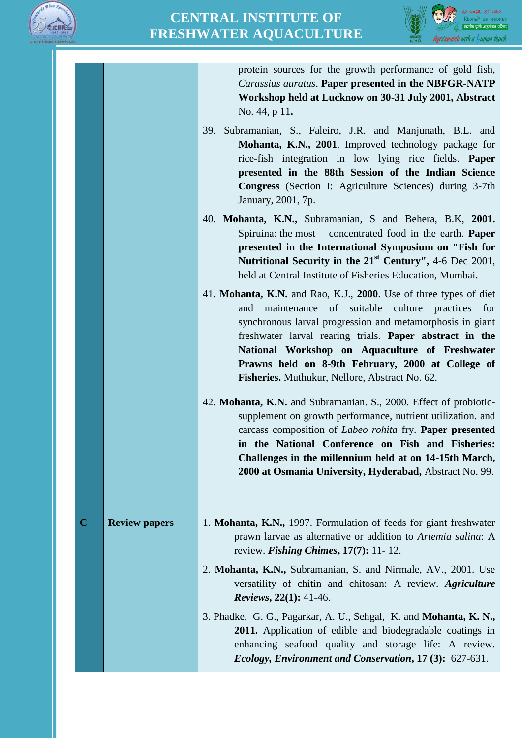



|             |                      | protein sources for the growth performance of gold fish,<br>Carassius auratus. Paper presented in the NBFGR-NATP<br>Workshop held at Lucknow on 30-31 July 2001, Abstract<br>No. 44, p 11.                                                                                                                                                                                                                    |
|-------------|----------------------|---------------------------------------------------------------------------------------------------------------------------------------------------------------------------------------------------------------------------------------------------------------------------------------------------------------------------------------------------------------------------------------------------------------|
|             |                      | 39. Subramanian, S., Faleiro, J.R. and Manjunath, B.L. and<br>Mohanta, K.N., 2001. Improved technology package for<br>rice-fish integration in low lying rice fields. Paper<br>presented in the 88th Session of the Indian Science<br>Congress (Section I: Agriculture Sciences) during 3-7th<br>January, 2001, 7p.                                                                                           |
|             |                      | 40. Mohanta, K.N., Subramanian, S and Behera, B.K, 2001.<br>Spiruina: the most concentrated food in the earth. <b>Paper</b><br>presented in the International Symposium on "Fish for<br>Nutritional Security in the $21st$ Century", 4-6 Dec 2001,<br>held at Central Institute of Fisheries Education, Mumbai.                                                                                               |
|             |                      | 41. Mohanta, K.N. and Rao, K.J., 2000. Use of three types of diet<br>maintenance of suitable culture practices<br>and<br>for<br>synchronous larval progression and metamorphosis in giant<br>freshwater larval rearing trials. Paper abstract in the<br>National Workshop on Aquaculture of Freshwater<br>Prawns held on 8-9th February, 2000 at College of<br>Fisheries. Muthukur, Nellore, Abstract No. 62. |
|             |                      | 42. Mohanta, K.N. and Subramanian. S., 2000. Effect of probiotic-<br>supplement on growth performance, nutrient utilization. and<br>carcass composition of Labeo rohita fry. Paper presented<br>in the National Conference on Fish and Fisheries:<br>Challenges in the millennium held at on 14-15th March,<br>2000 at Osmania University, Hyderabad, Abstract No. 99.                                        |
| $\mathbf C$ | <b>Review papers</b> | 1. Mohanta, K.N., 1997. Formulation of feeds for giant freshwater<br>prawn larvae as alternative or addition to Artemia salina: A<br>review. Fishing Chimes, $17(7)$ : 11-12.                                                                                                                                                                                                                                 |
|             |                      | 2. Mohanta, K.N., Subramanian, S. and Nirmale, AV., 2001. Use<br>versatility of chitin and chitosan: A review. Agriculture<br><i>Reviews</i> , 22(1): 41-46.                                                                                                                                                                                                                                                  |
|             |                      | 3. Phadke, G. G., Pagarkar, A. U., Sehgal, K. and Mohanta, K. N.,<br>2011. Application of edible and biodegradable coatings in<br>enhancing seafood quality and storage life: A review.<br>Ecology, Environment and Conservation, 17 (3): 627-631.                                                                                                                                                            |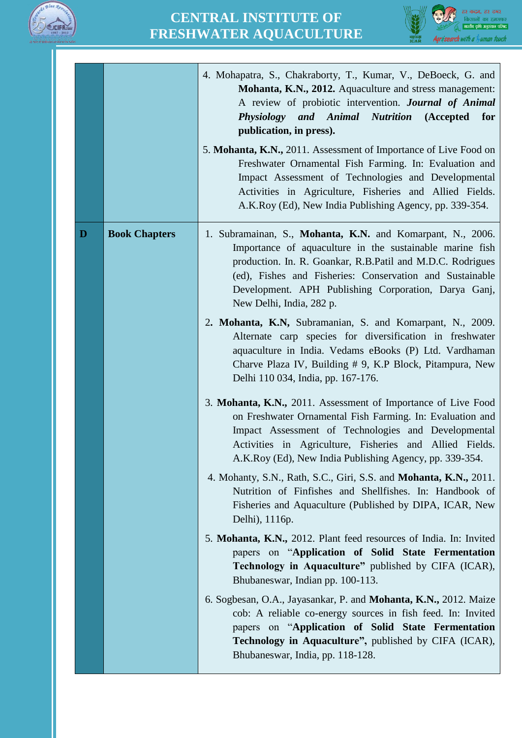



|   |                      | 4. Mohapatra, S., Chakraborty, T., Kumar, V., DeBoeck, G. and<br>Mohanta, K.N., 2012. Aquaculture and stress management:<br>A review of probiotic intervention. Journal of Animal<br>Physiology and Animal Nutrition (Accepted<br>for<br>publication, in press).<br>5. Mohanta, K.N., 2011. Assessment of Importance of Live Food on<br>Freshwater Ornamental Fish Farming. In: Evaluation and<br>Impact Assessment of Technologies and Developmental<br>Activities in Agriculture, Fisheries and Allied Fields.<br>A.K.Roy (Ed), New India Publishing Agency, pp. 339-354. |
|---|----------------------|-----------------------------------------------------------------------------------------------------------------------------------------------------------------------------------------------------------------------------------------------------------------------------------------------------------------------------------------------------------------------------------------------------------------------------------------------------------------------------------------------------------------------------------------------------------------------------|
| D | <b>Book Chapters</b> | 1. Subramainan, S., Mohanta, K.N. and Komarpant, N., 2006.<br>Importance of aquaculture in the sustainable marine fish<br>production. In. R. Goankar, R.B.Patil and M.D.C. Rodrigues<br>(ed), Fishes and Fisheries: Conservation and Sustainable<br>Development. APH Publishing Corporation, Darya Ganj,<br>New Delhi, India, 282 p.<br>2. Mohanta, K.N, Subramanian, S. and Komarpant, N., 2009.<br>Alternate carp species for diversification in freshwater                                                                                                               |
|   |                      | aquaculture in India. Vedams eBooks (P) Ltd. Vardhaman<br>Charve Plaza IV, Building # 9, K.P Block, Pitampura, New<br>Delhi 110 034, India, pp. 167-176.<br>3. Mohanta, K.N., 2011. Assessment of Importance of Live Food<br>on Freshwater Ornamental Fish Farming. In: Evaluation and<br>Impact Assessment of Technologies and Developmental                                                                                                                                                                                                                               |
|   |                      | Activities in Agriculture, Fisheries and Allied Fields.<br>A.K.Roy (Ed), New India Publishing Agency, pp. 339-354.<br>4. Mohanty, S.N., Rath, S.C., Giri, S.S. and Mohanta, K.N., 2011.<br>Nutrition of Finfishes and Shellfishes. In: Handbook of<br>Fisheries and Aquaculture (Published by DIPA, ICAR, New                                                                                                                                                                                                                                                               |
|   |                      | Delhi), 1116p.<br>5. Mohanta, K.N., 2012. Plant feed resources of India. In: Invited<br>papers on "Application of Solid State Fermentation<br>Technology in Aquaculture" published by CIFA (ICAR),<br>Bhubaneswar, Indian pp. 100-113.                                                                                                                                                                                                                                                                                                                                      |
|   |                      | 6. Sogbesan, O.A., Jayasankar, P. and Mohanta, K.N., 2012. Maize<br>cob: A reliable co-energy sources in fish feed. In: Invited<br>papers on "Application of Solid State Fermentation<br>Technology in Aquaculture", published by CIFA (ICAR),<br>Bhubaneswar, India, pp. 118-128.                                                                                                                                                                                                                                                                                          |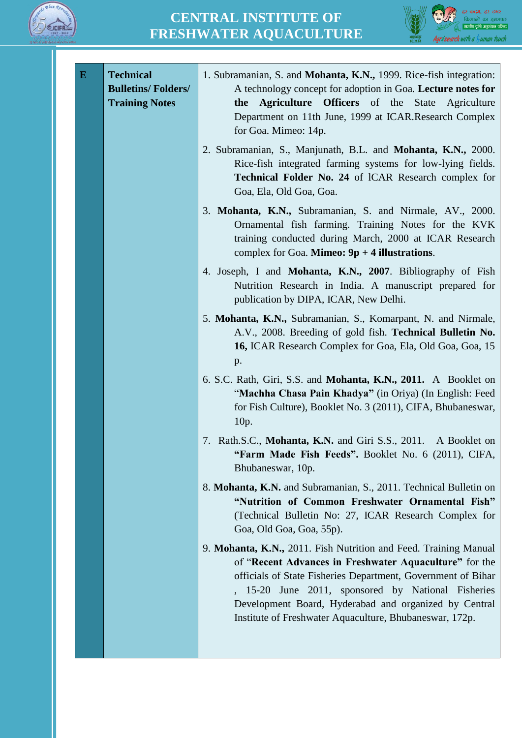



| ${\bf E}$ | <b>Technical</b><br><b>Bulletins/Folders/</b><br><b>Training Notes</b> | 1. Subramanian, S. and Mohanta, K.N., 1999. Rice-fish integration:<br>A technology concept for adoption in Goa. Lecture notes for<br>Agriculture Officers of the State<br>Agriculture<br>the<br>Department on 11th June, 1999 at ICAR.Research Complex<br>for Goa. Mimeo: 14p.<br>2. Subramanian, S., Manjunath, B.L. and Mohanta, K.N., 2000.                     |
|-----------|------------------------------------------------------------------------|--------------------------------------------------------------------------------------------------------------------------------------------------------------------------------------------------------------------------------------------------------------------------------------------------------------------------------------------------------------------|
|           |                                                                        | Rice-fish integrated farming systems for low-lying fields.<br>Technical Folder No. 24 of ICAR Research complex for<br>Goa, Ela, Old Goa, Goa.                                                                                                                                                                                                                      |
|           |                                                                        | 3. Mohanta, K.N., Subramanian, S. and Nirmale, AV., 2000.<br>Ornamental fish farming. Training Notes for the KVK<br>training conducted during March, 2000 at ICAR Research<br>complex for Goa. <b>Mimeo:</b> $9p + 4$ illustrations.                                                                                                                               |
|           |                                                                        | 4. Joseph, I and Mohanta, K.N., 2007. Bibliography of Fish<br>Nutrition Research in India. A manuscript prepared for<br>publication by DIPA, ICAR, New Delhi.                                                                                                                                                                                                      |
|           |                                                                        | 5. Mohanta, K.N., Subramanian, S., Komarpant, N. and Nirmale,<br>A.V., 2008. Breeding of gold fish. Technical Bulletin No.<br>16, ICAR Research Complex for Goa, Ela, Old Goa, Goa, 15<br>p.                                                                                                                                                                       |
|           |                                                                        | 6. S.C. Rath, Giri, S.S. and <b>Mohanta, K.N., 2011.</b> A Booklet on<br>"Machha Chasa Pain Khadya" (in Oriya) (In English: Feed<br>for Fish Culture), Booklet No. 3 (2011), CIFA, Bhubaneswar,<br>10p.                                                                                                                                                            |
|           |                                                                        | 7. Rath.S.C., Mohanta, K.N. and Giri S.S., 2011. A Booklet on<br>"Farm Made Fish Feeds". Booklet No. 6 (2011), CIFA,<br>Bhubaneswar, 10p.                                                                                                                                                                                                                          |
|           |                                                                        | 8. Mohanta, K.N. and Subramanian, S., 2011. Technical Bulletin on<br>"Nutrition of Common Freshwater Ornamental Fish"<br>(Technical Bulletin No: 27, ICAR Research Complex for<br>Goa, Old Goa, Goa, 55p).                                                                                                                                                         |
|           |                                                                        | 9. Mohanta, K.N., 2011. Fish Nutrition and Feed. Training Manual<br>of "Recent Advances in Freshwater Aquaculture" for the<br>officials of State Fisheries Department, Government of Bihar<br>15-20 June 2011, sponsored by National Fisheries<br>Development Board, Hyderabad and organized by Central<br>Institute of Freshwater Aquaculture, Bhubaneswar, 172p. |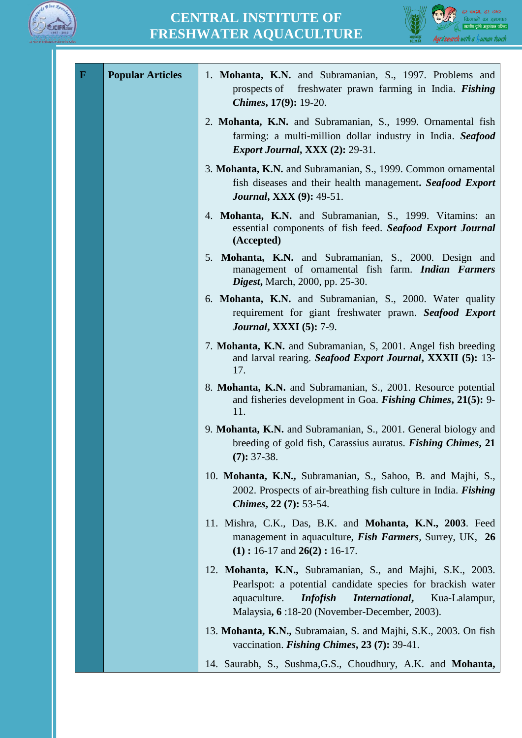



| $\mathbf{F}$ | <b>Popular Articles</b> | 1. Mohanta, K.N. and Subramanian, S., 1997. Problems and<br>prospects of freshwater prawn farming in India. Fishing<br>Chimes, 17(9): 19-20.                                                                                                    |
|--------------|-------------------------|-------------------------------------------------------------------------------------------------------------------------------------------------------------------------------------------------------------------------------------------------|
|              |                         | 2. Mohanta, K.N. and Subramanian, S., 1999. Ornamental fish<br>farming: a multi-million dollar industry in India. Seafood<br><b>Export Journal, XXX (2): 29-31.</b>                                                                             |
|              |                         | 3. Mohanta, K.N. and Subramanian, S., 1999. Common ornamental<br>fish diseases and their health management. Seafood Export<br><b>Journal, XXX (9): 49-51.</b>                                                                                   |
|              |                         | 4. Mohanta, K.N. and Subramanian, S., 1999. Vitamins: an<br>essential components of fish feed. Seafood Export Journal<br>(Accepted)                                                                                                             |
|              |                         | 5. Mohanta, K.N. and Subramanian, S., 2000. Design and<br>management of ornamental fish farm. <i>Indian Farmers</i><br><b>Digest, March, 2000, pp. 25-30.</b>                                                                                   |
|              |                         | 6. Mohanta, K.N. and Subramanian, S., 2000. Water quality<br>requirement for giant freshwater prawn. Seafood Export<br><b>Journal, XXXI</b> (5): 7-9.                                                                                           |
|              |                         | 7. Mohanta, K.N. and Subramanian, S, 2001. Angel fish breeding<br>and larval rearing. Seafood Export Journal, XXXII (5): 13-<br>17.                                                                                                             |
|              |                         | 8. Mohanta, K.N. and Subramanian, S., 2001. Resource potential<br>and fisheries development in Goa. Fishing Chimes, 21(5): 9-<br>11.                                                                                                            |
|              |                         | 9. Mohanta, K.N. and Subramanian, S., 2001. General biology and<br>breeding of gold fish, Carassius auratus. <i>Fishing Chimes</i> , 21<br>$(7): 37-38.$                                                                                        |
|              |                         | 10. Mohanta, K.N., Subramanian, S., Sahoo, B. and Majhi, S.,<br>2002. Prospects of air-breathing fish culture in India. <i>Fishing</i><br><i>Chimes</i> , $22(7)$ : 53-54.                                                                      |
|              |                         | 11. Mishra, C.K., Das, B.K. and Mohanta, K.N., 2003. Feed<br>management in aquaculture, <i>Fish Farmers</i> , Surrey, UK, 26<br>$(1): 16-17$ and $26(2): 16-17$ .                                                                               |
|              |                         | 12. Mohanta, K.N., Subramanian, S., and Majhi, S.K., 2003.<br>Pearlspot: a potential candidate species for brackish water<br><b>Infofish</b><br>International,<br>aquaculture.<br>Kua-Lalampur,<br>Malaysia, 6:18-20 (November-December, 2003). |
|              |                         | 13. Mohanta, K.N., Subramaian, S. and Majhi, S.K., 2003. On fish<br>vaccination. Fishing Chimes, $23(7)$ : 39-41.                                                                                                                               |
|              |                         | 14. Saurabh, S., Sushma, G.S., Choudhury, A.K. and Mohanta,                                                                                                                                                                                     |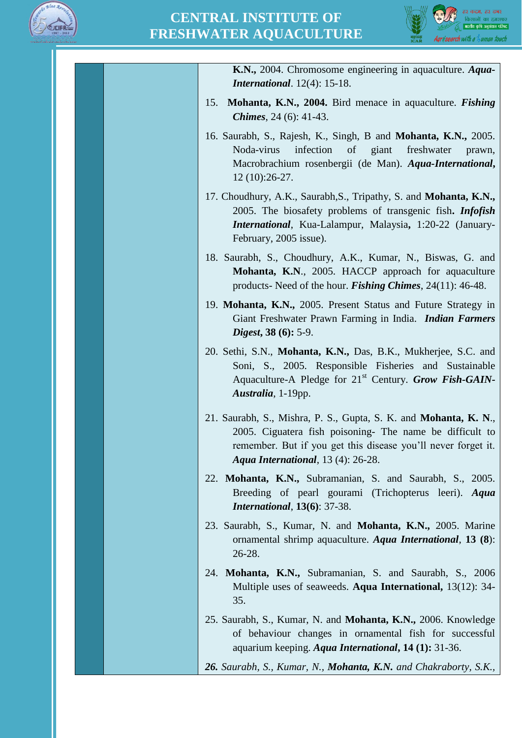



| K.N., 2004. Chromosome engineering in aquaculture. Aqua-                                                                                                                                                                                            |
|-----------------------------------------------------------------------------------------------------------------------------------------------------------------------------------------------------------------------------------------------------|
| <b>International.</b> $12(4)$ : 15-18.                                                                                                                                                                                                              |
| Mohanta, K.N., 2004. Bird menace in aquaculture. Fishing<br>15.<br><i>Chimes</i> , 24 $(6)$ : 41-43.                                                                                                                                                |
| 16. Saurabh, S., Rajesh, K., Singh, B and Mohanta, K.N., 2005.<br>Noda-virus<br>infection<br>of<br>giant<br>freshwater<br>prawn,<br>Macrobrachium rosenbergii (de Man). Aqua-International,<br>$12(10):26-27.$                                      |
| 17. Choudhury, A.K., Saurabh, S., Tripathy, S. and Mohanta, K.N.,<br>2005. The biosafety problems of transgenic fish. <i>Infofish</i><br><b>International</b> , Kua-Lalampur, Malaysia, 1:20-22 (January-<br>February, 2005 issue).                 |
| 18. Saurabh, S., Choudhury, A.K., Kumar, N., Biswas, G. and<br><b>Mohanta, K.N., 2005. HACCP approach for aquaculture</b><br>products- Need of the hour. <i>Fishing Chimes</i> , $24(11)$ : 46-48.                                                  |
| 19. Mohanta, K.N., 2005. Present Status and Future Strategy in<br>Giant Freshwater Prawn Farming in India. <i>Indian Farmers</i><br><i>Digest</i> , $38(6)$ : 5-9.                                                                                  |
| 20. Sethi, S.N., Mohanta, K.N., Das, B.K., Mukherjee, S.C. and<br>Soni, S., 2005. Responsible Fisheries and Sustainable<br>Aquaculture-A Pledge for 21 <sup>st</sup> Century. Grow Fish-GAIN-<br>Australia, 1-19pp.                                 |
| 21. Saurabh, S., Mishra, P. S., Gupta, S. K. and <b>Mohanta, K. N.</b> ,<br>2005. Ciguatera fish poisoning- The name be difficult to<br>remember. But if you get this disease you'll never forget it.<br><b>Aqua International</b> , 13 (4): 26-28. |
| 22. Mohanta, K.N., Subramanian, S. and Saurabh, S., 2005.<br>Breeding of pearl gourami (Trichopterus leeri). Aqua<br><b>International, 13(6): 37-38.</b>                                                                                            |
| 23. Saurabh, S., Kumar, N. and Mohanta, K.N., 2005. Marine<br>ornamental shrimp aquaculture. Aqua International, 13 (8):<br>26-28.                                                                                                                  |
| 24. Mohanta, K.N., Subramanian, S. and Saurabh, S., 2006<br>Multiple uses of seaweeds. Aqua International, 13(12): 34-<br>35.                                                                                                                       |
| 25. Saurabh, S., Kumar, N. and Mohanta, K.N., 2006. Knowledge<br>of behaviour changes in ornamental fish for successful<br>aquarium keeping. Aqua International, 14 (1): 31-36.                                                                     |
| 26. Saurabh, S., Kumar, N., Mohanta, K.N. and Chakraborty, S.K.,                                                                                                                                                                                    |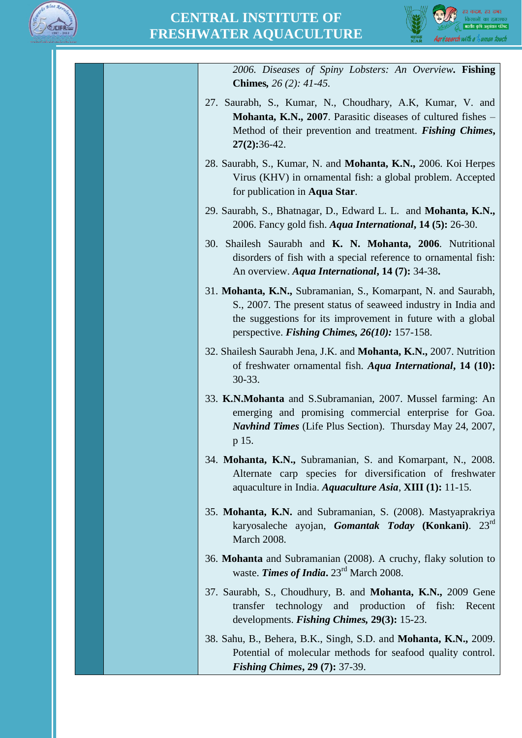



| 2006. Diseases of Spiny Lobsters: An Overview. Fishing<br><b>Chimes,</b> $26(2)$ : $41-45$ .                                                                                                                                                       |
|----------------------------------------------------------------------------------------------------------------------------------------------------------------------------------------------------------------------------------------------------|
| 27. Saurabh, S., Kumar, N., Choudhary, A.K., Kumar, V. and<br><b>Mohanta, K.N., 2007.</b> Parasitic diseases of cultured fishes –<br>Method of their prevention and treatment. Fishing Chimes,<br>$27(2):36-42.$                                   |
| 28. Saurabh, S., Kumar, N. and <b>Mohanta, K.N.,</b> 2006. Koi Herpes<br>Virus (KHV) in ornamental fish: a global problem. Accepted<br>for publication in Aqua Star.                                                                               |
| 29. Saurabh, S., Bhatnagar, D., Edward L. L. and Mohanta, K.N.,<br>2006. Fancy gold fish. <i>Aqua International</i> , <b>14 (5):</b> 26-30.                                                                                                        |
| 30. Shailesh Saurabh and K. N. Mohanta, 2006. Nutritional<br>disorders of fish with a special reference to ornamental fish:<br>An overview. Aqua International, 14 (7): 34-38.                                                                     |
| 31. Mohanta, K.N., Subramanian, S., Komarpant, N. and Saurabh,<br>S., 2007. The present status of seaweed industry in India and<br>the suggestions for its improvement in future with a global<br>perspective. Fishing Chimes, $26(10)$ : 157-158. |
| 32. Shailesh Saurabh Jena, J.K. and Mohanta, K.N., 2007. Nutrition<br>of freshwater ornamental fish. Aqua International, 14 (10):<br>30-33.                                                                                                        |
| 33. K.N.Mohanta and S.Subramanian, 2007. Mussel farming: An<br>emerging and promising commercial enterprise for Goa.<br>Navhind Times (Life Plus Section). Thursday May 24, 2007,<br>p 15.                                                         |
| 34. Mohanta, K.N., Subramanian, S. and Komarpant, N., 2008.<br>Alternate carp species for diversification of freshwater<br>aquaculture in India. Aquaculture Asia, XIII (1): 11-15.                                                                |
| 35. Mohanta, K.N. and Subramanian, S. (2008). Mastyaprakriya<br>karyosaleche ayojan, Gomantak Today (Konkani). 23 <sup>rd</sup><br><b>March 2008.</b>                                                                                              |
| 36. Mohanta and Subramanian (2008). A cruchy, flaky solution to<br>waste. Times of India. 23 <sup>rd</sup> March 2008.                                                                                                                             |
| 37. Saurabh, S., Choudhury, B. and Mohanta, K.N., 2009 Gene<br>transfer technology and production of fish:<br>Recent<br>developments. <i>Fishing Chimes</i> , 29(3): 15-23.                                                                        |
| 38. Sahu, B., Behera, B.K., Singh, S.D. and Mohanta, K.N., 2009.<br>Potential of molecular methods for seafood quality control.<br><b>Fishing Chimes, 29 (7): 37-39.</b>                                                                           |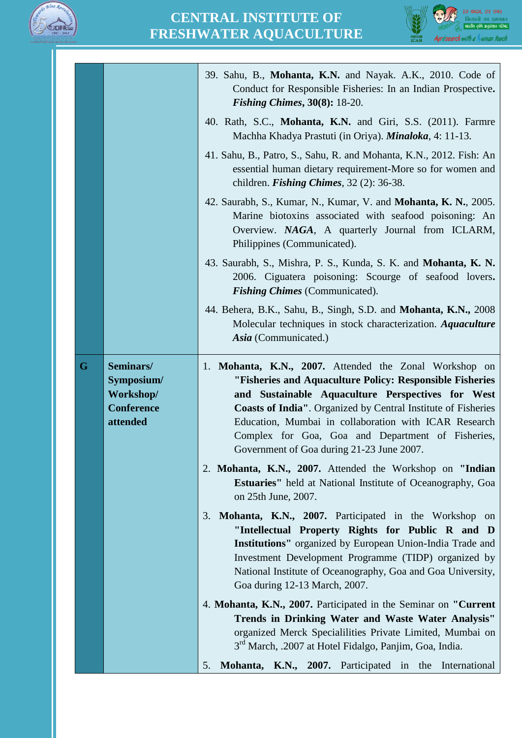



|   |                                                                       | 39. Sahu, B., Mohanta, K.N. and Nayak. A.K., 2010. Code of<br>Conduct for Responsible Fisheries: In an Indian Prospective.<br><i>Fishing Chimes, 30(8):</i> $18-20$ .                                                                                                                                                                                                                                         |  |  |  |  |  |  |
|---|-----------------------------------------------------------------------|---------------------------------------------------------------------------------------------------------------------------------------------------------------------------------------------------------------------------------------------------------------------------------------------------------------------------------------------------------------------------------------------------------------|--|--|--|--|--|--|
|   |                                                                       | 40. Rath, S.C., Mohanta, K.N. and Giri, S.S. (2011). Farmre<br>Machha Khadya Prastuti (in Oriya). <i>Minaloka</i> , 4: 11-13.                                                                                                                                                                                                                                                                                 |  |  |  |  |  |  |
|   |                                                                       | 41. Sahu, B., Patro, S., Sahu, R. and Mohanta, K.N., 2012. Fish: An<br>essential human dietary requirement-More so for women and<br>children. <i>Fishing Chimes</i> , $32$ (2): $36-38$ .                                                                                                                                                                                                                     |  |  |  |  |  |  |
|   |                                                                       | 42. Saurabh, S., Kumar, N., Kumar, V. and Mohanta, K. N., 2005.<br>Marine biotoxins associated with seafood poisoning: An<br>Overview. NAGA, A quarterly Journal from ICLARM,<br>Philippines (Communicated).                                                                                                                                                                                                  |  |  |  |  |  |  |
|   |                                                                       | 43. Saurabh, S., Mishra, P. S., Kunda, S. K. and Mohanta, K. N.<br>2006. Ciguatera poisoning: Scourge of seafood lovers.<br><b>Fishing Chimes</b> (Communicated).                                                                                                                                                                                                                                             |  |  |  |  |  |  |
|   |                                                                       | 44. Behera, B.K., Sahu, B., Singh, S.D. and <b>Mohanta, K.N.,</b> 2008<br>Molecular techniques in stock characterization. Aquaculture<br>Asia (Communicated.)                                                                                                                                                                                                                                                 |  |  |  |  |  |  |
| G | Seminars/<br>Symposium/<br>Workshop/<br><b>Conference</b><br>attended | Mohanta, K.N., 2007. Attended the Zonal Workshop on<br>1.<br>"Fisheries and Aquaculture Policy: Responsible Fisheries<br>and Sustainable Aquaculture Perspectives for West<br><b>Coasts of India".</b> Organized by Central Institute of Fisheries<br>Education, Mumbai in collaboration with ICAR Research<br>Complex for Goa, Goa and Department of Fisheries,<br>Government of Goa during 21-23 June 2007. |  |  |  |  |  |  |
|   |                                                                       | 2. Mohanta, K.N., 2007. Attended the Workshop on "Indian<br><b>Estuaries''</b> held at National Institute of Oceanography, Goa<br>on 25th June, 2007.                                                                                                                                                                                                                                                         |  |  |  |  |  |  |
|   |                                                                       | 3.<br>Mohanta, K.N., 2007. Participated in the Workshop on<br>"Intellectual Property Rights for Public R and D<br><b>Institutions''</b> organized by European Union-India Trade and<br>Investment Development Programme (TIDP) organized by<br>National Institute of Oceanography, Goa and Goa University,<br>Goa during 12-13 March, 2007.                                                                   |  |  |  |  |  |  |
|   |                                                                       | 4. Mohanta, K.N., 2007. Participated in the Seminar on "Current"<br>Trends in Drinking Water and Waste Water Analysis"<br>organized Merck Specialilities Private Limited, Mumbai on<br>3 <sup>rd</sup> March, .2007 at Hotel Fidalgo, Panjim, Goa, India.                                                                                                                                                     |  |  |  |  |  |  |
|   |                                                                       | Mohanta, K.N., 2007. Participated in the International<br>5.                                                                                                                                                                                                                                                                                                                                                  |  |  |  |  |  |  |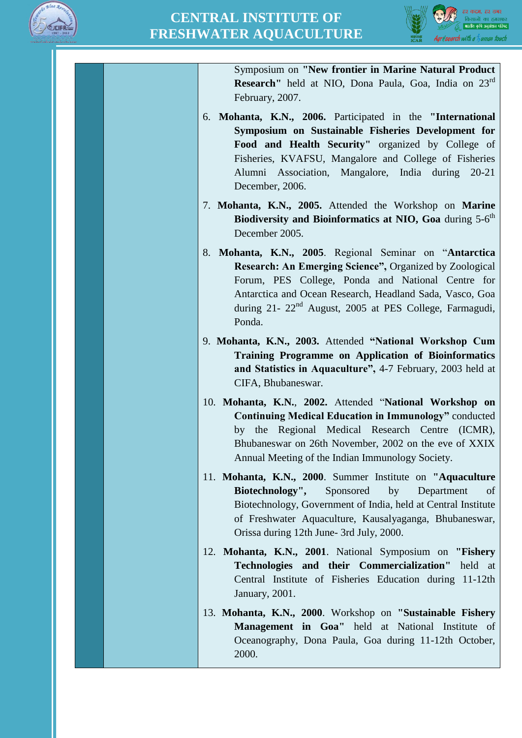



Symposium on **"New frontier in Marine Natural Product Research"** held at NIO, Dona Paula, Goa, India on 23rd February, 2007.

- 6. **Mohanta, K.N., 2006.** Participated in the **"International Symposium on Sustainable Fisheries Development for Food and Health Security"** organized by College of Fisheries, KVAFSU, Mangalore and College of Fisheries Alumni Association, Mangalore, India during 20-21 December, 2006.
- 7. **Mohanta, K.N., 2005.** Attended the Workshop on **Marine**  Biodiversity and Bioinformatics at NIO, Goa during 5-6<sup>th</sup> December 2005.
- 8. **Mohanta, K.N., 2005**. Regional Seminar on "**Antarctica Research: An Emerging Science",** Organized by Zoological Forum, PES College, Ponda and National Centre for Antarctica and Ocean Research, Headland Sada, Vasco, Goa during 21- 22<sup>nd</sup> August, 2005 at PES College, Farmagudi, Ponda.
- 9. **Mohanta, K.N., 2003.** Attended **"National Workshop Cum Training Programme on Application of Bioinformatics and Statistics in Aquaculture",** 4-7 February, 2003 held at CIFA, Bhubaneswar.
- 10. **Mohanta, K.N.**, **2002.** Attended "**National Workshop on Continuing Medical Education in Immunology"** conducted by the Regional Medical Research Centre (ICMR), Bhubaneswar on 26th November, 2002 on the eve of XXIX Annual Meeting of the Indian Immunology Society.
- 11. **Mohanta, K.N., 2000**. Summer Institute on **"Aquaculture Biotechnology",** Sponsored by Department of Biotechnology, Government of India, held at Central Institute of Freshwater Aquaculture, Kausalyaganga, Bhubaneswar, Orissa during 12th June- 3rd July, 2000.
- 12. **Mohanta, K.N., 2001**. National Symposium on **"Fishery Technologies and their Commercialization"** held at Central Institute of Fisheries Education during 11-12th January, 2001.
- 13. **Mohanta, K.N., 2000**. Workshop on **"Sustainable Fishery Management in Goa"** held at National Institute of Oceanography, Dona Paula, Goa during 11-12th October, 2000.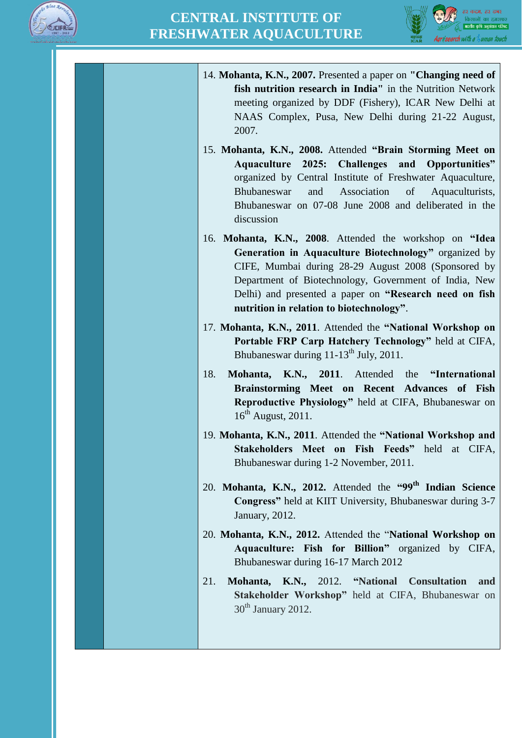



| 14. Mohanta, K.N., 2007. Presented a paper on "Changing need of<br>fish nutrition research in India" in the Nutrition Network<br>meeting organized by DDF (Fishery), ICAR New Delhi at<br>NAAS Complex, Pusa, New Delhi during 21-22 August,<br>2007.                                                                                  |
|----------------------------------------------------------------------------------------------------------------------------------------------------------------------------------------------------------------------------------------------------------------------------------------------------------------------------------------|
| 15. Mohanta, K.N., 2008. Attended "Brain Storming Meet on<br>Aquaculture 2025: Challenges<br>and<br>Opportunities"<br>organized by Central Institute of Freshwater Aquaculture,<br>Association<br>of<br>Bhubaneswar<br>and<br>Aquaculturists,<br>Bhubaneswar on 07-08 June 2008 and deliberated in the<br>discussion                   |
| 16. Mohanta, K.N., 2008. Attended the workshop on "Idea<br>Generation in Aquaculture Biotechnology" organized by<br>CIFE, Mumbai during 28-29 August 2008 (Sponsored by<br>Department of Biotechnology, Government of India, New<br>Delhi) and presented a paper on "Research need on fish<br>nutrition in relation to biotechnology". |
| 17. Mohanta, K.N., 2011. Attended the "National Workshop on<br>Portable FRP Carp Hatchery Technology" held at CIFA,<br>Bhubaneswar during 11-13 <sup>th</sup> July, 2011.                                                                                                                                                              |
| Mohanta, K.N., 2011. Attended the "International<br>18.<br>Brainstorming Meet on Recent Advances of Fish<br>Reproductive Physiology" held at CIFA, Bhubaneswar on<br>$16^{th}$ August, 2011.                                                                                                                                           |
| 19. Mohanta, K.N., 2011. Attended the "National Workshop and<br>Stakeholders Meet on Fish Feeds" held<br>at CIFA,<br>Bhubaneswar during 1-2 November, 2011.                                                                                                                                                                            |
| 20. Mohanta, K.N., 2012. Attended the "99 <sup>th</sup> Indian Science<br>Congress" held at KIIT University, Bhubaneswar during 3-7<br>January, 2012.                                                                                                                                                                                  |
| 20. Mohanta, K.N., 2012. Attended the "National Workshop on<br>Aquaculture: Fish for Billion" organized by CIFA,<br>Bhubaneswar during 16-17 March 2012                                                                                                                                                                                |
| Mohanta, K.N., 2012. "National Consultation<br>21.<br>and<br>Stakeholder Workshop" held at CIFA, Bhubaneswar on<br>$30th$ January 2012.                                                                                                                                                                                                |
|                                                                                                                                                                                                                                                                                                                                        |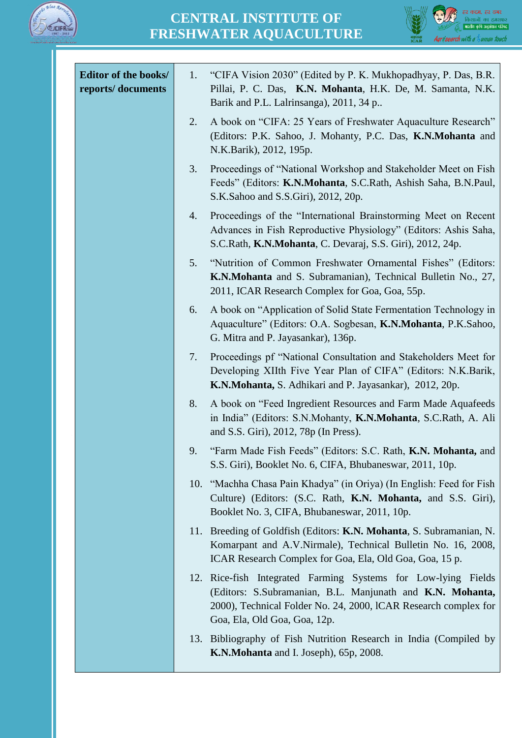



| Editor of the books/<br>reports/documents | "CIFA Vision 2030" (Edited by P. K. Mukhopadhyay, P. Das, B.R.<br>1.<br>Pillai, P. C. Das, K.N. Mohanta, H.K. De, M. Samanta, N.K.<br>Barik and P.L. Lalrinsanga), 2011, 34 p                                                 |
|-------------------------------------------|-------------------------------------------------------------------------------------------------------------------------------------------------------------------------------------------------------------------------------|
|                                           | A book on "CIFA: 25 Years of Freshwater Aquaculture Research"<br>2.<br>(Editors: P.K. Sahoo, J. Mohanty, P.C. Das, K.N.Mohanta and<br>N.K.Barik), 2012, 195p.                                                                 |
|                                           | Proceedings of "National Workshop and Stakeholder Meet on Fish<br>3.<br>Feeds" (Editors: K.N.Mohanta, S.C.Rath, Ashish Saha, B.N.Paul,<br>S.K.Sahoo and S.S.Giri), 2012, 20p.                                                 |
|                                           | Proceedings of the "International Brainstorming Meet on Recent<br>4.<br>Advances in Fish Reproductive Physiology" (Editors: Ashis Saha,<br>S.C.Rath, K.N.Mohanta, C. Devaraj, S.S. Giri), 2012, 24p.                          |
|                                           | 5.<br>"Nutrition of Common Freshwater Ornamental Fishes" (Editors:<br>K.N.Mohanta and S. Subramanian), Technical Bulletin No., 27,<br>2011, ICAR Research Complex for Goa, Goa, 55p.                                          |
|                                           | A book on "Application of Solid State Fermentation Technology in<br>6.<br>Aquaculture" (Editors: O.A. Sogbesan, K.N.Mohanta, P.K.Sahoo,<br>G. Mitra and P. Jayasankar), 136p.                                                 |
|                                           | Proceedings pf "National Consultation and Stakeholders Meet for<br>7.<br>Developing XIIth Five Year Plan of CIFA" (Editors: N.K.Barik,<br>K.N.Mohanta, S. Adhikari and P. Jayasankar), 2012, 20p.                             |
|                                           | 8.<br>A book on "Feed Ingredient Resources and Farm Made Aquafeeds"<br>in India" (Editors: S.N.Mohanty, K.N.Mohanta, S.C.Rath, A. Ali<br>and S.S. Giri), 2012, 78p (In Press).                                                |
|                                           | "Farm Made Fish Feeds" (Editors: S.C. Rath, K.N. Mohanta, and<br>9.<br>S.S. Giri), Booklet No. 6, CIFA, Bhubaneswar, 2011, 10p.                                                                                               |
|                                           | 10. "Machha Chasa Pain Khadya" (in Oriya) (In English: Feed for Fish<br>Culture) (Editors: (S.C. Rath, K.N. Mohanta, and S.S. Giri),<br>Booklet No. 3, CIFA, Bhubaneswar, 2011, 10p.                                          |
|                                           | 11. Breeding of Goldfish (Editors: K.N. Mohanta, S. Subramanian, N.<br>Komarpant and A.V.Nirmale), Technical Bulletin No. 16, 2008,<br>ICAR Research Complex for Goa, Ela, Old Goa, Goa, 15 p.                                |
|                                           | 12. Rice-fish Integrated Farming Systems for Low-lying Fields<br>(Editors: S.Subramanian, B.L. Manjunath and K.N. Mohanta,<br>2000), Technical Folder No. 24, 2000, ICAR Research complex for<br>Goa, Ela, Old Goa, Goa, 12p. |
|                                           | 13. Bibliography of Fish Nutrition Research in India (Compiled by<br>K.N.Mohanta and I. Joseph), 65p, 2008.                                                                                                                   |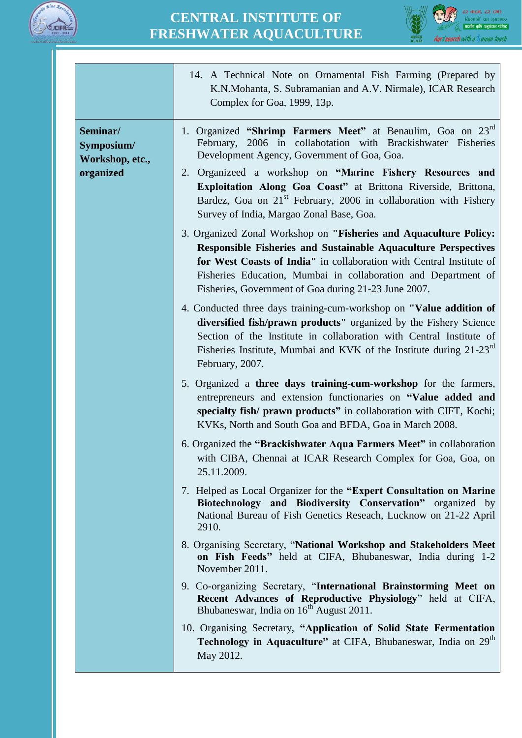



|                                                        | 14. A Technical Note on Ornamental Fish Farming (Prepared by<br>K.N.Mohanta, S. Subramanian and A.V. Nirmale), ICAR Research<br>Complex for Goa, 1999, 13p.                                                                                                                                                                                                                                                                           |
|--------------------------------------------------------|---------------------------------------------------------------------------------------------------------------------------------------------------------------------------------------------------------------------------------------------------------------------------------------------------------------------------------------------------------------------------------------------------------------------------------------|
| Seminar/<br>Symposium/<br>Workshop, etc.,<br>organized | 1. Organized "Shrimp Farmers Meet" at Benaulim, Goa on 23rd<br>February, 2006 in collabotation with Brackishwater Fisheries<br>Development Agency, Government of Goa, Goa.<br>2. Organizeed a workshop on "Marine Fishery Resources and<br>Exploitation Along Goa Coast" at Brittona Riverside, Brittona,<br>Bardez, Goa on 21 <sup>st</sup> February, 2006 in collaboration with Fishery<br>Survey of India, Margao Zonal Base, Goa. |
|                                                        | 3. Organized Zonal Workshop on "Fisheries and Aquaculture Policy:<br><b>Responsible Fisheries and Sustainable Aquaculture Perspectives</b><br>for West Coasts of India" in collaboration with Central Institute of<br>Fisheries Education, Mumbai in collaboration and Department of<br>Fisheries, Government of Goa during 21-23 June 2007.                                                                                          |
|                                                        | 4. Conducted three days training-cum-workshop on "Value addition of<br>diversified fish/prawn products" organized by the Fishery Science<br>Section of the Institute in collaboration with Central Institute of<br>Fisheries Institute, Mumbai and KVK of the Institute during 21-23 <sup>rd</sup><br>February, 2007.                                                                                                                 |
|                                                        | 5. Organized a three days training-cum-workshop for the farmers,<br>entrepreneurs and extension functionaries on "Value added and<br>specialty fish/ prawn products" in collaboration with CIFT, Kochi;<br>KVKs, North and South Goa and BFDA, Goa in March 2008.                                                                                                                                                                     |
|                                                        | 6. Organized the "Brackishwater Aqua Farmers Meet" in collaboration<br>with CIBA, Chennai at ICAR Research Complex for Goa, Goa, on<br>25.11.2009.                                                                                                                                                                                                                                                                                    |
|                                                        | 7. Helped as Local Organizer for the "Expert Consultation on Marine"<br>Biotechnology and Biodiversity Conservation" organized by<br>National Bureau of Fish Genetics Reseach, Lucknow on 21-22 April<br>2910.                                                                                                                                                                                                                        |
|                                                        | 8. Organising Secretary, "National Workshop and Stakeholders Meet<br>on Fish Feeds" held at CIFA, Bhubaneswar, India during 1-2<br>November 2011.                                                                                                                                                                                                                                                                                     |
|                                                        | 9. Co-organizing Secretary, "International Brainstorming Meet on<br>Recent Advances of Reproductive Physiology" held at CIFA,<br>Bhubaneswar, India on 16 <sup>th</sup> August 2011.                                                                                                                                                                                                                                                  |
|                                                        | 10. Organising Secretary, "Application of Solid State Fermentation<br>Technology in Aquaculture" at CIFA, Bhubaneswar, India on 29 <sup>th</sup><br>May 2012.                                                                                                                                                                                                                                                                         |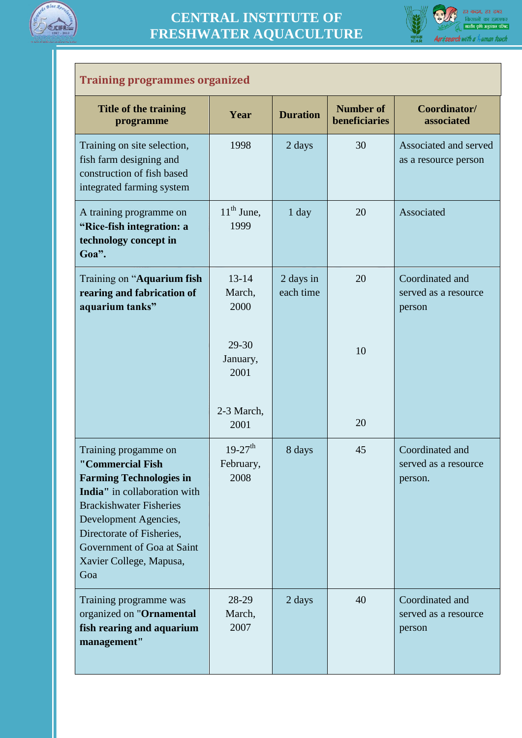



#### **Training programmes organized**

| <b>Title of the training</b><br>programme                                                                                                                                                                                                                          | Year                                       | <b>Duration</b>        | <b>Number of</b><br>beneficiaries | Coordinator/<br>associated                         |
|--------------------------------------------------------------------------------------------------------------------------------------------------------------------------------------------------------------------------------------------------------------------|--------------------------------------------|------------------------|-----------------------------------|----------------------------------------------------|
| Training on site selection,<br>fish farm designing and<br>construction of fish based<br>integrated farming system                                                                                                                                                  | 1998                                       | 2 days                 | 30                                | Associated and served<br>as a resource person      |
| A training programme on<br>"Rice-fish integration: a<br>technology concept in<br>Goa".                                                                                                                                                                             | $11th$ June,<br>1999                       | 1 day                  | 20                                | Associated                                         |
| Training on "Aquarium fish<br>rearing and fabrication of<br>aquarium tanks"                                                                                                                                                                                        | $13 - 14$<br>March,<br>2000                | 2 days in<br>each time | 20                                | Coordinated and<br>served as a resource<br>person  |
|                                                                                                                                                                                                                                                                    | 29-30<br>January,<br>2001                  |                        | 10                                |                                                    |
|                                                                                                                                                                                                                                                                    | 2-3 March,<br>2001                         |                        | 20                                |                                                    |
| Training progamme on<br>"Commercial Fish<br><b>Farming Technologies in</b><br>India" in collaboration with<br><b>Brackishwater Fisheries</b><br>Development Agencies,<br>Directorate of Fisheries,<br>Government of Goa at Saint<br>Xavier College, Mapusa,<br>Goa | $19-27$ <sup>th</sup><br>February,<br>2008 | 8 days                 | 45                                | Coordinated and<br>served as a resource<br>person. |
| Training programme was<br>organized on "Ornamental<br>fish rearing and aquarium<br>management"                                                                                                                                                                     | 28-29<br>March,<br>2007                    | 2 days                 | 40                                | Coordinated and<br>served as a resource<br>person  |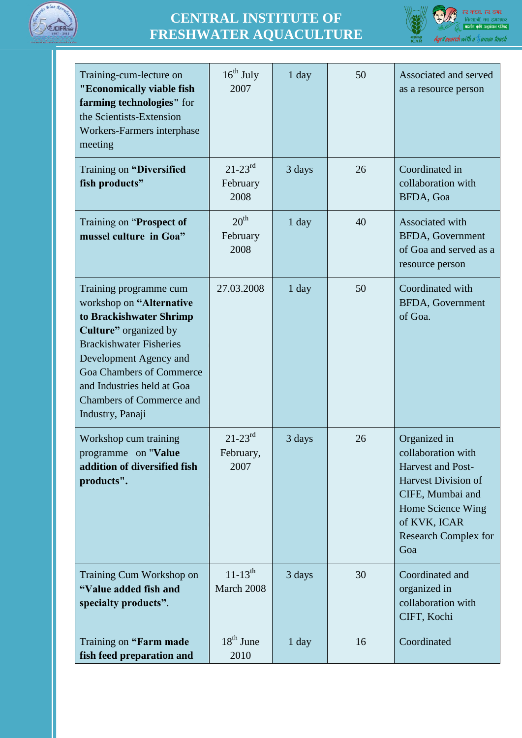



| Training-cum-lecture on<br>"Economically viable fish<br>farming technologies" for<br>the Scientists-Extension<br>Workers-Farmers interphase<br>meeting                                                                                                                                     | $16^{th}$ July<br>2007               | $1$ day | 50 | Associated and served<br>as a resource person                                                                                                                                        |
|--------------------------------------------------------------------------------------------------------------------------------------------------------------------------------------------------------------------------------------------------------------------------------------------|--------------------------------------|---------|----|--------------------------------------------------------------------------------------------------------------------------------------------------------------------------------------|
| <b>Training on "Diversified</b><br>fish products"                                                                                                                                                                                                                                          | $21 - 23^{rd}$<br>February<br>2008   | 3 days  | 26 | Coordinated in<br>collaboration with<br>BFDA, Goa                                                                                                                                    |
| Training on "Prospect of<br>mussel culture in Goa"                                                                                                                                                                                                                                         | 20 <sup>th</sup><br>February<br>2008 | $1$ day | 40 | Associated with<br><b>BFDA, Government</b><br>of Goa and served as a<br>resource person                                                                                              |
| Training programme cum<br>workshop on "Alternative<br>to Brackishwater Shrimp<br>Culture" organized by<br><b>Brackishwater Fisheries</b><br>Development Agency and<br><b>Goa Chambers of Commerce</b><br>and Industries held at Goa<br><b>Chambers of Commerce and</b><br>Industry, Panaji | 27.03.2008                           | $1$ day | 50 | Coordinated with<br><b>BFDA, Government</b><br>of Goa.                                                                                                                               |
| Workshop cum training<br>programme on "Value"<br>addition of diversified fish<br>products".                                                                                                                                                                                                | $21 - 23^{rd}$<br>February,<br>2007  | 3 days  | 26 | Organized in<br>collaboration with<br>Harvest and Post-<br><b>Harvest Division of</b><br>CIFE, Mumbai and<br>Home Science Wing<br>of KVK, ICAR<br><b>Research Complex for</b><br>Goa |
| Training Cum Workshop on<br>"Value added fish and<br>specialty products".                                                                                                                                                                                                                  | $11 - 13^{th}$<br>March 2008         | 3 days  | 30 | Coordinated and<br>organized in<br>collaboration with<br>CIFT, Kochi                                                                                                                 |
| Training on "Farm made<br>fish feed preparation and                                                                                                                                                                                                                                        | $18th$ June<br>2010                  | $1$ day | 16 | Coordinated                                                                                                                                                                          |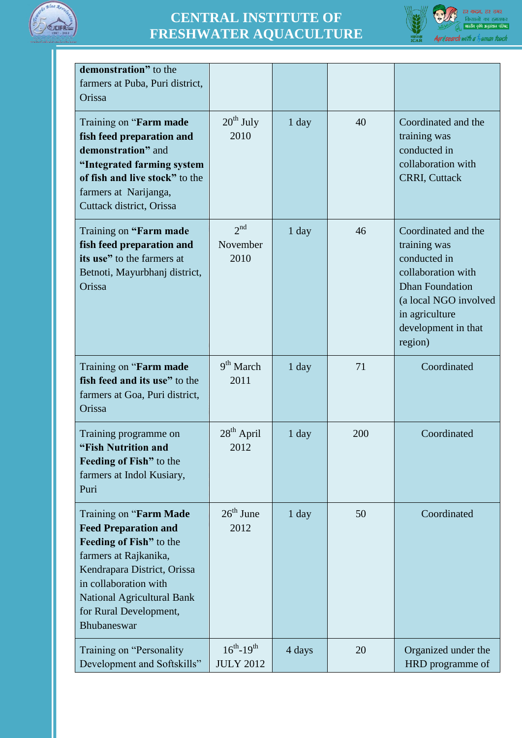



| demonstration" to the<br>farmers at Puba, Puri district,<br>Orissa                                                                                                                                                                              |                                         |         |     |                                                                                                                                                                                  |
|-------------------------------------------------------------------------------------------------------------------------------------------------------------------------------------------------------------------------------------------------|-----------------------------------------|---------|-----|----------------------------------------------------------------------------------------------------------------------------------------------------------------------------------|
| Training on "Farm made<br>fish feed preparation and<br>demonstration" and<br>"Integrated farming system<br>of fish and live stock" to the<br>farmers at Narijanga,<br>Cuttack district, Orissa                                                  | $20^{th}$ July<br>2010                  | $1$ day | 40  | Coordinated and the<br>training was<br>conducted in<br>collaboration with<br><b>CRRI, Cuttack</b>                                                                                |
| Training on "Farm made<br>fish feed preparation and<br>its use" to the farmers at<br>Betnoti, Mayurbhanj district,<br>Orissa                                                                                                                    | 2 <sup>nd</sup><br>November<br>2010     | 1 day   | 46  | Coordinated and the<br>training was<br>conducted in<br>collaboration with<br><b>Dhan Foundation</b><br>(a local NGO involved<br>in agriculture<br>development in that<br>region) |
| Training on " <b>Farm made</b><br>fish feed and its use" to the<br>farmers at Goa, Puri district,<br>Orissa                                                                                                                                     | $9th$ March<br>2011                     | $1$ day | 71  | Coordinated                                                                                                                                                                      |
| Training programme on<br>"Fish Nutrition and<br><b>Feeding of Fish</b> " to the<br>farmers at Indol Kusiary,<br>Puri                                                                                                                            | 28 <sup>th</sup> April<br>2012          | $1$ day | 200 | Coordinated                                                                                                                                                                      |
| Training on "Farm Made<br><b>Feed Preparation and</b><br>Feeding of Fish" to the<br>farmers at Rajkanika,<br>Kendrapara District, Orissa<br>in collaboration with<br><b>National Agricultural Bank</b><br>for Rural Development,<br>Bhubaneswar | $26th$ June<br>2012                     | $1$ day | 50  | Coordinated                                                                                                                                                                      |
| Training on "Personality"<br>Development and Softskills"                                                                                                                                                                                        | $16^{th} - 19^{th}$<br><b>JULY 2012</b> | 4 days  | 20  | Organized under the<br>HRD programme of                                                                                                                                          |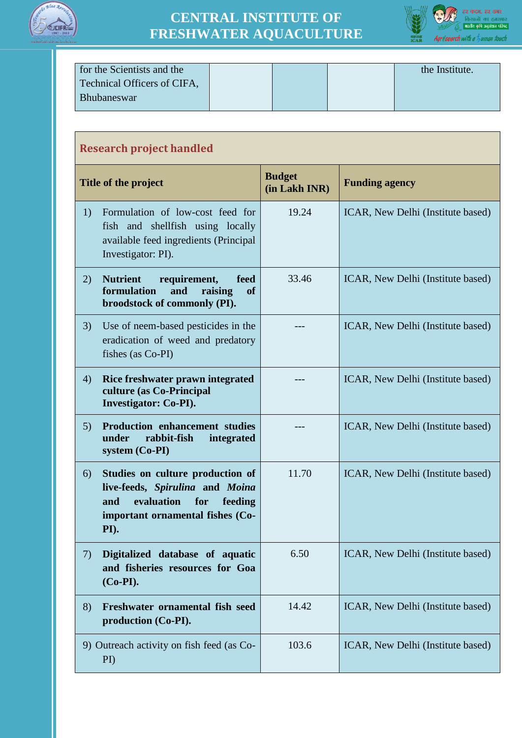



| for the Scientists and the  |  | the Institute. |
|-----------------------------|--|----------------|
| Technical Officers of CIFA, |  |                |
| <b>Bhubaneswar</b>          |  |                |
|                             |  |                |

| <b>Research project handled</b> |                                                                                                                                                        |                                |                                   |
|---------------------------------|--------------------------------------------------------------------------------------------------------------------------------------------------------|--------------------------------|-----------------------------------|
|                                 | Title of the project                                                                                                                                   | <b>Budget</b><br>(in Lakh INR) | <b>Funding agency</b>             |
| 1)                              | Formulation of low-cost feed for<br>fish and shellfish using locally<br>available feed ingredients (Principal<br>Investigator: PI).                    | 19.24                          | ICAR, New Delhi (Institute based) |
| 2)                              | <b>Nutrient</b><br>requirement,<br>feed<br>formulation<br>and<br>raising<br><b>of</b><br>broodstock of commonly (PI).                                  | 33.46                          | ICAR, New Delhi (Institute based) |
| 3)                              | Use of neem-based pesticides in the<br>eradication of weed and predatory<br>fishes (as Co-PI)                                                          |                                | ICAR, New Delhi (Institute based) |
| 4)                              | Rice freshwater prawn integrated<br>culture (as Co-Principal<br><b>Investigator: Co-PI).</b>                                                           |                                | ICAR, New Delhi (Institute based) |
| 5)                              | Production enhancement studies<br>rabbit-fish<br>under<br>integrated<br>$system (Co-PI)$                                                               |                                | ICAR, New Delhi (Institute based) |
| 6)                              | Studies on culture production of<br>live-feeds, Spirulina and Moina<br>evaluation<br>for<br>feeding<br>and<br>important ornamental fishes (Co-<br>PI). | 11.70                          | ICAR, New Delhi (Institute based) |
| 7)                              | Digitalized database of aquatic<br>and fisheries resources for Goa<br>$(Co-PI)$ .                                                                      | 6.50                           | ICAR, New Delhi (Institute based) |
| 8)                              | Freshwater ornamental fish seed<br>production (Co-PI).                                                                                                 | 14.42                          | ICAR, New Delhi (Institute based) |
|                                 | 9) Outreach activity on fish feed (as Co-<br>$\rm{PD}$                                                                                                 | 103.6                          | ICAR, New Delhi (Institute based) |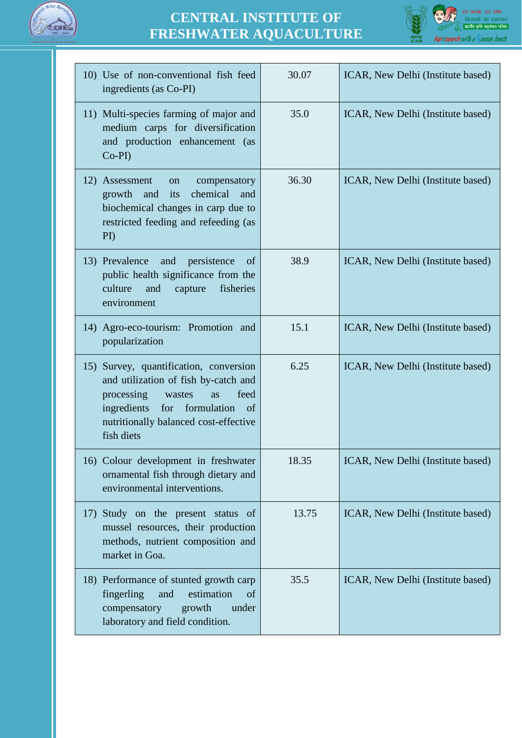



| 10) Use of non-conventional fish feed<br>ingredients (as Co-PI)                                                                                                                                                               | 30.07 | ICAR, New Delhi (Institute based) |
|-------------------------------------------------------------------------------------------------------------------------------------------------------------------------------------------------------------------------------|-------|-----------------------------------|
| 11) Multi-species farming of major and<br>medium carps for diversification<br>and production enhancement (as<br>$Co-PI$                                                                                                       | 35.0  | ICAR, New Delhi (Institute based) |
| 12) Assessment<br>compensatory<br>on<br>its<br>chemical<br>growth<br>and<br>and<br>biochemical changes in carp due to<br>restricted feeding and refeeding (as<br>$\rm{PD}$                                                    | 36.30 | ICAR, New Delhi (Institute based) |
| 13) Prevalence<br>and<br>persistence<br>of<br>public health significance from the<br>culture<br>fisheries<br>and<br>capture<br>environment                                                                                    | 38.9  | ICAR, New Delhi (Institute based) |
| 14) Agro-eco-tourism: Promotion and<br>popularization                                                                                                                                                                         | 15.1  | ICAR, New Delhi (Institute based) |
| 15) Survey, quantification, conversion<br>and utilization of fish by-catch and<br>processing<br>feed<br>wastes<br><b>as</b><br>ingredients<br>formulation<br>for<br>of<br>nutritionally balanced cost-effective<br>fish diets | 6.25  | ICAR, New Delhi (Institute based) |
| 16) Colour development in freshwater<br>ornamental fish through dietary and<br>environmental interventions.                                                                                                                   | 18.35 | ICAR, New Delhi (Institute based) |
| Study on the present status of<br>17)<br>mussel resources, their production<br>methods, nutrient composition and<br>market in Goa.                                                                                            | 13.75 | ICAR, New Delhi (Institute based) |
| 18) Performance of stunted growth carp<br>fingerling<br>estimation<br>and<br>of<br>compensatory<br>growth<br>under<br>laboratory and field condition.                                                                         | 35.5  | ICAR, New Delhi (Institute based) |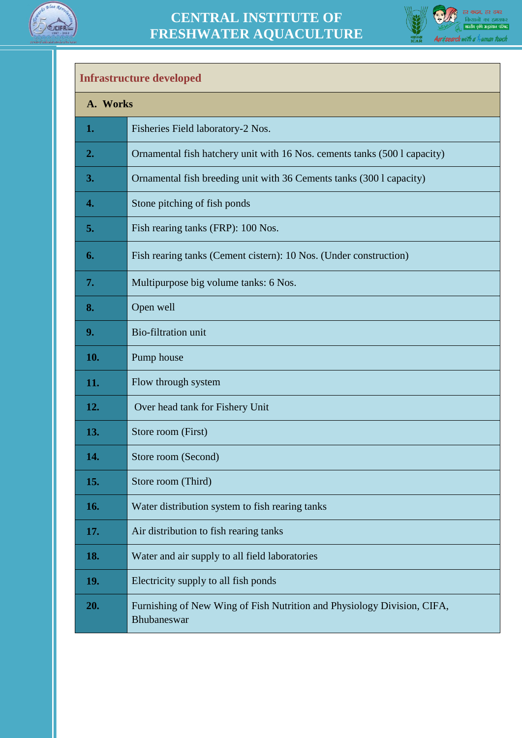



#### **Infrastructure developed**

| A. Works   |                                                                                        |  |
|------------|----------------------------------------------------------------------------------------|--|
| 1.         | Fisheries Field laboratory-2 Nos.                                                      |  |
| 2.         | Ornamental fish hatchery unit with 16 Nos. cements tanks (500 l capacity)              |  |
| 3.         | Ornamental fish breeding unit with 36 Cements tanks (300 l capacity)                   |  |
| 4.         | Stone pitching of fish ponds                                                           |  |
| 5.         | Fish rearing tanks (FRP): 100 Nos.                                                     |  |
| 6.         | Fish rearing tanks (Cement cistern): 10 Nos. (Under construction)                      |  |
| 7.         | Multipurpose big volume tanks: 6 Nos.                                                  |  |
| 8.         | Open well                                                                              |  |
| 9.         | Bio-filtration unit                                                                    |  |
| 10.        | Pump house                                                                             |  |
| 11.        | Flow through system                                                                    |  |
| 12.        | Over head tank for Fishery Unit                                                        |  |
| 13.        | Store room (First)                                                                     |  |
| 14.        | Store room (Second)                                                                    |  |
| 15.        | Store room (Third)                                                                     |  |
| <b>16.</b> | Water distribution system to fish rearing tanks                                        |  |
| 17.        | Air distribution to fish rearing tanks                                                 |  |
| 18.        | Water and air supply to all field laboratories                                         |  |
| 19.        | Electricity supply to all fish ponds                                                   |  |
| 20.        | Furnishing of New Wing of Fish Nutrition and Physiology Division, CIFA,<br>Bhubaneswar |  |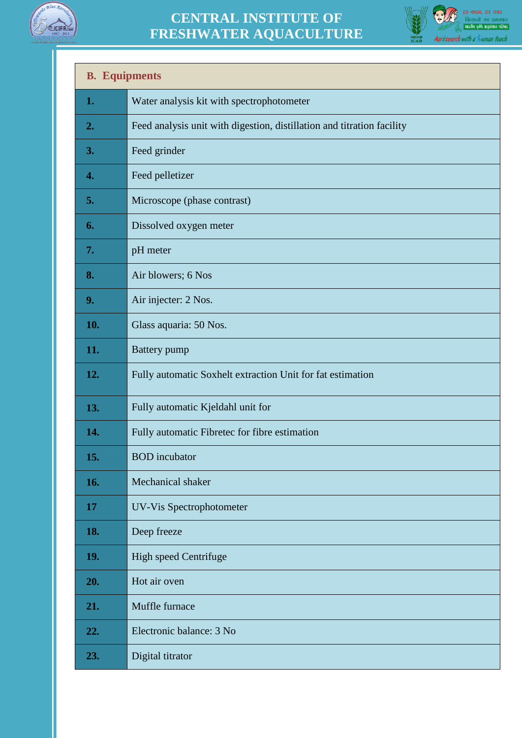



| <b>B.</b> Equipments |                                                                        |  |
|----------------------|------------------------------------------------------------------------|--|
| 1.                   | Water analysis kit with spectrophotometer                              |  |
| 2.                   | Feed analysis unit with digestion, distillation and titration facility |  |
| 3.                   | Feed grinder                                                           |  |
| 4.                   | Feed pelletizer                                                        |  |
| 5.                   | Microscope (phase contrast)                                            |  |
| 6.                   | Dissolved oxygen meter                                                 |  |
| 7.                   | pH meter                                                               |  |
| 8.                   | Air blowers; 6 Nos                                                     |  |
| 9.                   | Air injecter: 2 Nos.                                                   |  |
| 10.                  | Glass aquaria: 50 Nos.                                                 |  |
| 11.                  | <b>Battery</b> pump                                                    |  |
| 12.                  | Fully automatic Soxhelt extraction Unit for fat estimation             |  |
| 13.                  | Fully automatic Kjeldahl unit for                                      |  |
| 14.                  | Fully automatic Fibretec for fibre estimation                          |  |
| 15.                  | <b>BOD</b> incubator                                                   |  |
| 16.                  | Mechanical shaker                                                      |  |
| 17                   | UV-Vis Spectrophotometer                                               |  |
| 18.                  | Deep freeze                                                            |  |
| 19.                  | High speed Centrifuge                                                  |  |
| 20.                  | Hot air oven                                                           |  |
| 21.                  | Muffle furnace                                                         |  |
| 22.                  | Electronic balance: 3 No                                               |  |
| 23.                  | Digital titrator                                                       |  |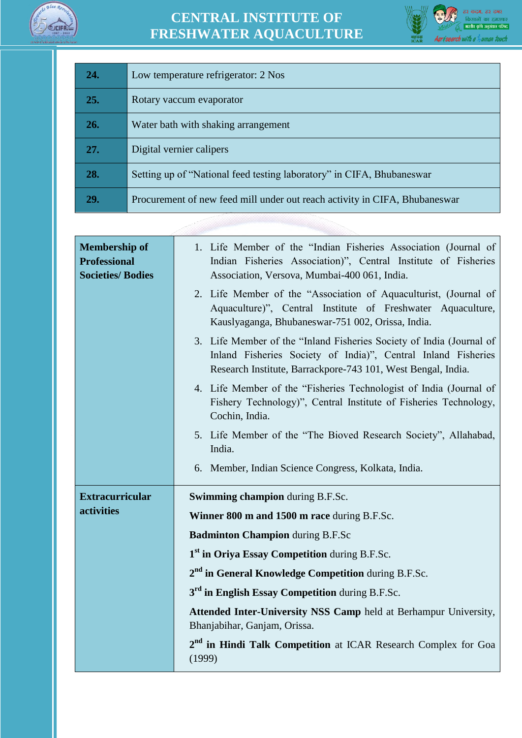



| 24. | Low temperature refrigerator: 2 Nos                                        |
|-----|----------------------------------------------------------------------------|
| 25. | Rotary vaccum evaporator                                                   |
| 26. | Water bath with shaking arrangement                                        |
| 27. | Digital vernier calipers                                                   |
| 28. | Setting up of "National feed testing laboratory" in CIFA, Bhubaneswar      |
| 29. | Procurement of new feed mill under out reach activity in CIFA, Bhubaneswar |

| <b>Membership of</b><br><b>Professional</b><br><b>Societies/ Bodies</b> | 1. Life Member of the "Indian Fisheries Association (Journal of<br>Indian Fisheries Association)", Central Institute of Fisheries<br>Association, Versova, Mumbai-400 061, India.                     |  |  |
|-------------------------------------------------------------------------|-------------------------------------------------------------------------------------------------------------------------------------------------------------------------------------------------------|--|--|
|                                                                         | 2. Life Member of the "Association of Aquaculturist, (Journal of<br>Aquaculture)", Central Institute of Freshwater Aquaculture,<br>Kauslyaganga, Bhubaneswar-751 002, Orissa, India.                  |  |  |
|                                                                         | 3. Life Member of the "Inland Fisheries Society of India (Journal of<br>Inland Fisheries Society of India)", Central Inland Fisheries<br>Research Institute, Barrackpore-743 101, West Bengal, India. |  |  |
|                                                                         | 4. Life Member of the "Fisheries Technologist of India (Journal of<br>Fishery Technology)", Central Institute of Fisheries Technology,<br>Cochin, India.                                              |  |  |
|                                                                         | 5. Life Member of the "The Bioved Research Society", Allahabad,<br>India.                                                                                                                             |  |  |
|                                                                         | 6. Member, Indian Science Congress, Kolkata, India.                                                                                                                                                   |  |  |
| <b>Extracurricular</b>                                                  | <b>Swimming champion during B.F.Sc.</b>                                                                                                                                                               |  |  |
| activities                                                              | Winner 800 m and 1500 m race during B.F.Sc.                                                                                                                                                           |  |  |
|                                                                         | <b>Badminton Champion during B.F.Sc</b>                                                                                                                                                               |  |  |
|                                                                         | 1 <sup>st</sup> in Oriya Essay Competition during B.F.Sc.                                                                                                                                             |  |  |
|                                                                         | 2 <sup>nd</sup> in General Knowledge Competition during B.F.Sc.                                                                                                                                       |  |  |
|                                                                         | 3 <sup>rd</sup> in English Essay Competition during B.F.Sc.                                                                                                                                           |  |  |
|                                                                         | Attended Inter-University NSS Camp held at Berhampur University,<br>Bhanjabihar, Ganjam, Orissa.                                                                                                      |  |  |
|                                                                         | 2 <sup>nd</sup> in Hindi Talk Competition at ICAR Research Complex for Goa<br>(1999)                                                                                                                  |  |  |